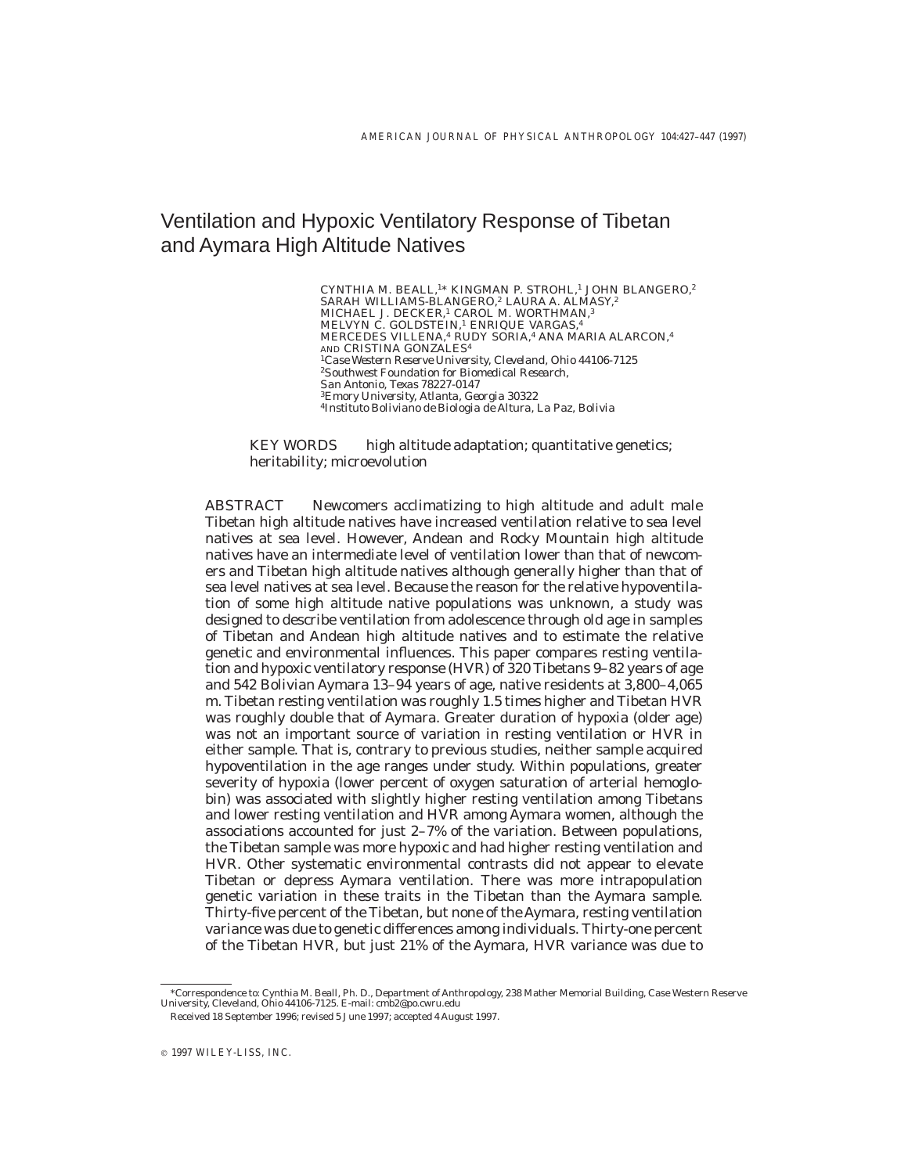# Ventilation and Hypoxic Ventilatory Response of Tibetan and Aymara High Altitude Natives

CYNTHIA M. BEALL,<sup>1\*</sup> KINGMAN P. STROHL,<sup>1</sup> JOHN BLANGERO,<sup>2</sup> SARAH WILLIAMS-BLANGERO,<sup>2</sup> LAURA A. ALMASY,<sup>2</sup> MICHAEL J. DECKER,<sup>1</sup> CAROL M. WORTHMAN,<sup>3</sup> MELVYN C. GOLDSTEIN,<sup>1</sup> ENRIQUE VARGAS,<sup>4</sup> MERCEDES VILLENA,<sup>4</sup> RUDY SORIA,<sup>4</sup> ANA MARIA ALARCON,<sup>4</sup> AND CRISTINA GONZALES4 <sup>1</sup>*Case Western Reserve University, Cleveland, Ohio 44106-7125* <sup>2</sup>*Southwest Foundation for Biomedical Research, San Antonio, Texas 78227-0147* <sup>3</sup>*Emory University, Atlanta, Georgia 30322* <sup>4</sup>*Instituto Boliviano de Biologia de Altura, La Paz, Bolivia*

*KEY WORDS* high altitude adaptation; quantitative genetics; heritability; microevolution

*ABSTRACT* Newcomers acclimatizing to high altitude and adult male Tibetan high altitude natives have increased ventilation relative to sea level natives at sea level. However, Andean and Rocky Mountain high altitude natives have an intermediate level of ventilation lower than that of newcomers and Tibetan high altitude natives although generally higher than that of sea level natives at sea level. Because the reason for the relative hypoventilation of some high altitude native populations was unknown, a study was designed to describe ventilation from adolescence through old age in samples of Tibetan and Andean high altitude natives and to estimate the relative genetic and environmental influences. This paper compares resting ventilation and hypoxic ventilatory response (HVR) of 320 Tibetans 9–82 years of age and 542 Bolivian Aymara 13–94 years of age, native residents at 3,800–4,065 m. Tibetan resting ventilation was roughly 1.5 times higher and Tibetan HVR was roughly double that of Aymara. Greater duration of hypoxia (older age) was not an important source of variation in resting ventilation or HVR in either sample. That is, contrary to previous studies, neither sample acquired hypoventilation in the age ranges under study. Within populations, greater severity of hypoxia (lower percent of oxygen saturation of arterial hemoglobin) was associated with slightly higher resting ventilation among Tibetans and lower resting ventilation and HVR among Aymara women, although the associations accounted for just 2–7% of the variation. Between populations, the Tibetan sample was more hypoxic and had higher resting ventilation and HVR. Other systematic environmental contrasts did not appear to elevate Tibetan or depress Aymara ventilation. There was more intrapopulation genetic variation in these traits in the Tibetan than the Aymara sample. Thirty-five percent of the Tibetan, but none of the Aymara, resting ventilation variance was due to genetic differences among individuals. Thirty-one percent of the Tibetan HVR, but just 21% of the Aymara, HVR variance was due to

<sup>\*</sup>Correspondence to: Cynthia M. Beall, Ph. D., Department of Anthropology, 238 Mather Memorial Building, Case Western Reserve University, Cleveland, Ohio 44106-7125. E-mail: cmb2@po.cwru.edu Received 18 September 1996; revised 5 June 1997; accepted 4 August 1997.

 $© 1997 WILEY-LISS, INC.$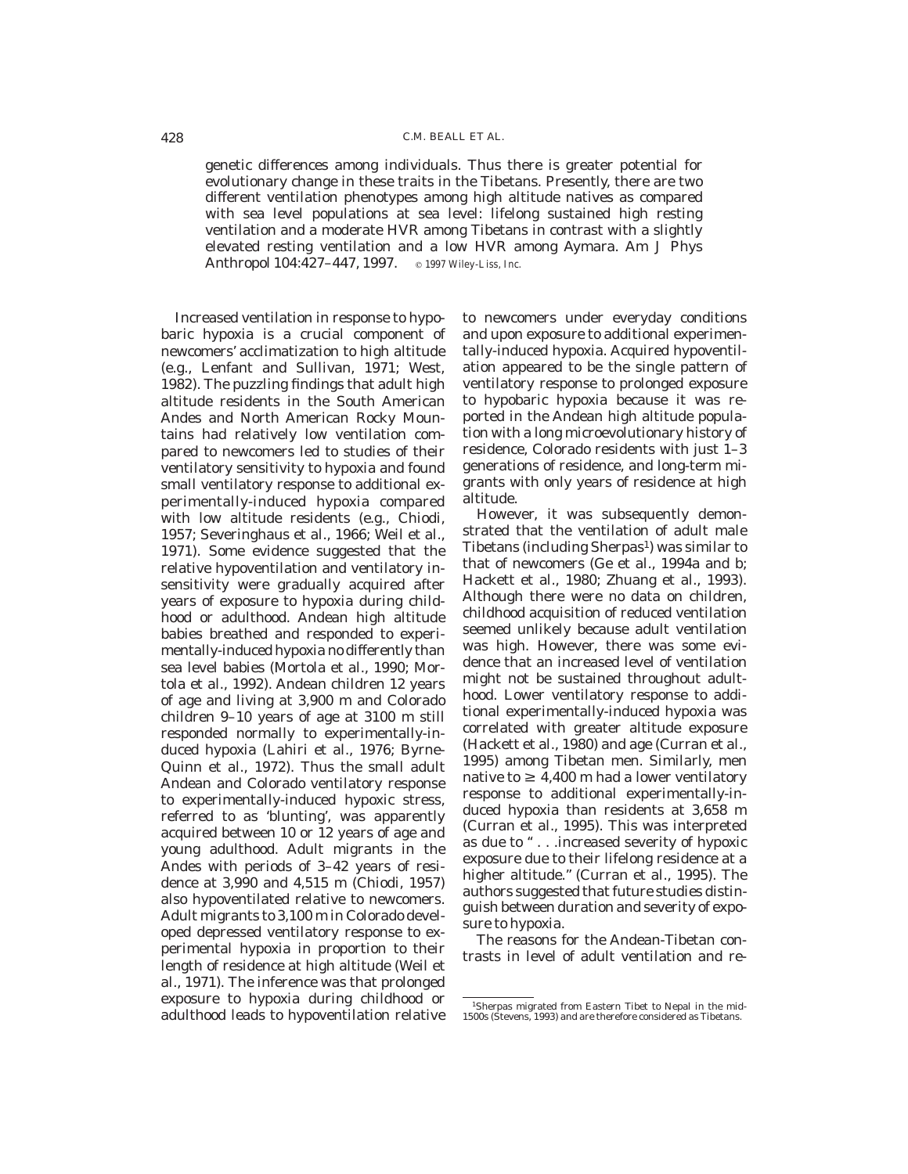genetic differences among individuals. Thus there is greater potential for evolutionary change in these traits in the Tibetans. Presently, there are two different ventilation phenotypes among high altitude natives as compared with sea level populations at sea level: lifelong sustained high resting ventilation and a moderate HVR among Tibetans in contrast with a slightly elevated resting ventilation and a low HVR among Aymara. Am J Phys Anthropol 104:427-447, 1997. © 1997 Wiley-Liss, Inc.

Increased ventilation in response to hypobaric hypoxia is a crucial component of newcomers' acclimatization to high altitude (e.g., Lenfant and Sullivan, 1971; West, 1982). The puzzling findings that adult high altitude residents in the South American Andes and North American Rocky Mountains had relatively low ventilation compared to newcomers led to studies of their ventilatory sensitivity to hypoxia and found small ventilatory response to additional experimentally-induced hypoxia compared with low altitude residents (e.g., Chiodi, 1957; Severinghaus et al., 1966; Weil et al., 1971). Some evidence suggested that the relative hypoventilation and ventilatory insensitivity were gradually acquired after years of exposure to hypoxia during childhood or adulthood. Andean high altitude babies breathed and responded to experimentally-induced hypoxia no differently than sea level babies (Mortola et al., 1990; Mortola et al., 1992). Andean children 12 years of age and living at 3,900 m and Colorado children 9–10 years of age at 3100 m still responded normally to experimentally-induced hypoxia (Lahiri et al., 1976; Byrne-Quinn et al., 1972). Thus the small adult Andean and Colorado ventilatory response to experimentally-induced hypoxic stress, referred to as 'blunting', was apparently acquired between 10 or 12 years of age and young adulthood. Adult migrants in the Andes with periods of 3–42 years of residence at 3,990 and 4,515 m (Chiodi, 1957) also hypoventilated relative to newcomers. Adult migrants to 3,100 m in Colorado developed depressed ventilatory response to experimental hypoxia in proportion to their length of residence at high altitude (Weil et al., 1971). The inference was that prolonged exposure to hypoxia during childhood or adulthood leads to hypoventilation relative

to newcomers under everyday conditions and upon exposure to additional experimentally-induced hypoxia. Acquired hypoventilation appeared to be the single pattern of ventilatory response to prolonged exposure to hypobaric hypoxia because it was reported in the Andean high altitude population with a long microevolutionary history of residence, Colorado residents with just 1–3 generations of residence, and long-term migrants with only years of residence at high altitude.

However, it was subsequently demonstrated that the ventilation of adult male Tibetans (including  $\text{Sherpas}^1$ ) was similar to that of newcomers (Ge et al., 1994a and b; Hackett et al., 1980; Zhuang et al., 1993). Although there were no data on children, childhood acquisition of reduced ventilation seemed unlikely because adult ventilation was high. However, there was some evidence that an increased level of ventilation might not be sustained throughout adulthood. Lower ventilatory response to additional experimentally-induced hypoxia was correlated with greater altitude exposure (Hackett et al., 1980) and age (Curran et al., 1995) among Tibetan men. Similarly, men native to  $\geq 4,400$  m had a lower ventilatory response to additional experimentally-induced hypoxia than residents at 3,658 m (Curran et al., 1995). This was interpreted as due to '' . . .increased severity of hypoxic exposure due to their lifelong residence at a higher altitude.'' (Curran et al., 1995). The authors suggested that future studies distinguish between duration and severity of exposure to hypoxia.

The reasons for the Andean-Tibetan contrasts in level of adult ventilation and re-

<sup>1</sup>Sherpas migrated from Eastern Tibet to Nepal in the mid-1500s (Stevens, 1993) and are therefore considered as Tibetans.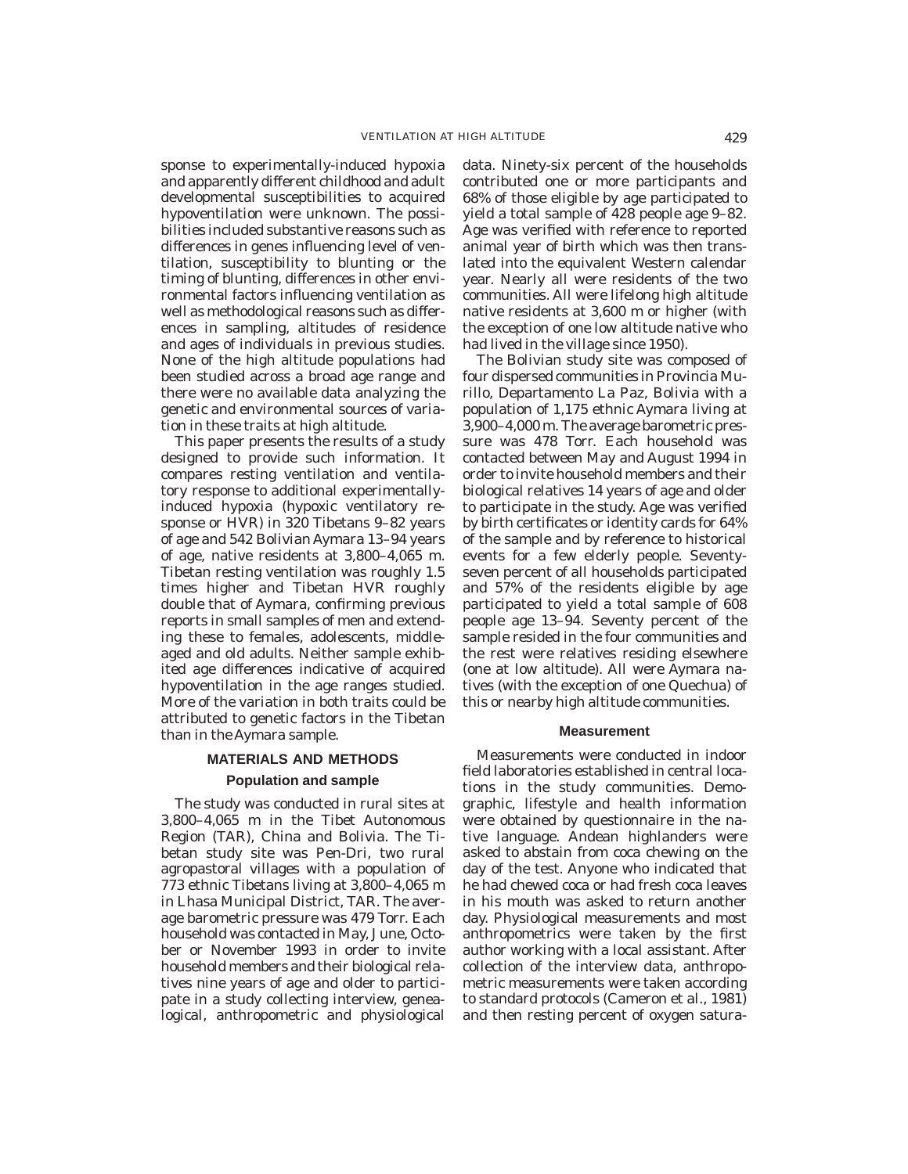sponse to experimentally-induced hypoxia and apparently different childhood and adult developmental susceptibilities to acquired hypoventilation were unknown. The possibilities included substantive reasons such as differences in genes influencing level of ventilation, susceptibility to blunting or the timing of blunting, differences in other environmental factors influencing ventilation as well as methodological reasons such as differences in sampling, altitudes of residence and ages of individuals in previous studies. None of the high altitude populations had been studied across a broad age range and there were no available data analyzing the genetic and environmental sources of variation in these traits at high altitude.

This paper presents the results of a study designed to provide such information. It compares resting ventilation and ventilatory response to additional experimentallyinduced hypoxia (hypoxic ventilatory response or HVR) in 320 Tibetans 9–82 years of age and 542 Bolivian Aymara 13–94 years of age, native residents at 3,800–4,065 m. Tibetan resting ventilation was roughly 1.5 times higher and Tibetan HVR roughly double that of Aymara, confirming previous reports in small samples of men and extending these to females, adolescents, middleaged and old adults. Neither sample exhibited age differences indicative of acquired hypoventilation in the age ranges studied. More of the variation in both traits could be attributed to genetic factors in the Tibetan than in the Aymara sample.

# **MATERIALS AND METHODS Population and sample**

The study was conducted in rural sites at 3,800–4,065 m in the Tibet Autonomous Region (TAR), China and Bolivia. The Tibetan study site was Pen-Dri, two rural agropastoral villages with a population of 773 ethnic Tibetans living at 3,800–4,065 m in Lhasa Municipal District, TAR. The average barometric pressure was 479 Torr. Each household was contacted in May, June, October or November 1993 in order to invite household members and their biological relatives nine years of age and older to participate in a study collecting interview, genealogical, anthropometric and physiological

data. Ninety-six percent of the households contributed one or more participants and 68% of those eligible by age participated to yield a total sample of 428 people age 9–82. Age was verified with reference to reported animal year of birth which was then translated into the equivalent Western calendar year. Nearly all were residents of the two communities. All were lifelong high altitude native residents at 3,600 m or higher (with the exception of one low altitude native who had lived in the village since 1950).

The Bolivian study site was composed of four dispersed communities in Provincia Murillo, Departamento La Paz, Bolivia with a population of 1,175 ethnic Aymara living at 3,900–4,000 m. The average barometric pressure was 478 Torr. Each household was contacted between May and August 1994 in order to invite household members and their biological relatives 14 years of age and older to participate in the study. Age was verified by birth certificates or identity cards for 64% of the sample and by reference to historical events for a few elderly people. Seventyseven percent of all households participated and 57% of the residents eligible by age participated to yield a total sample of 608 people age 13–94. Seventy percent of the sample resided in the four communities and the rest were relatives residing elsewhere (one at low altitude). All were Aymara natives (with the exception of one Quechua) of this or nearby high altitude communities.

# **Measurement**

Measurements were conducted in indoor field laboratories established in central locations in the study communities. Demographic, lifestyle and health information were obtained by questionnaire in the native language. Andean highlanders were asked to abstain from coca chewing on the day of the test. Anyone who indicated that he had chewed coca or had fresh coca leaves in his mouth was asked to return another day. Physiological measurements and most anthropometrics were taken by the first author working with a local assistant. After collection of the interview data, anthropometric measurements were taken according to standard protocols (Cameron et al., 1981) and then resting percent of oxygen satura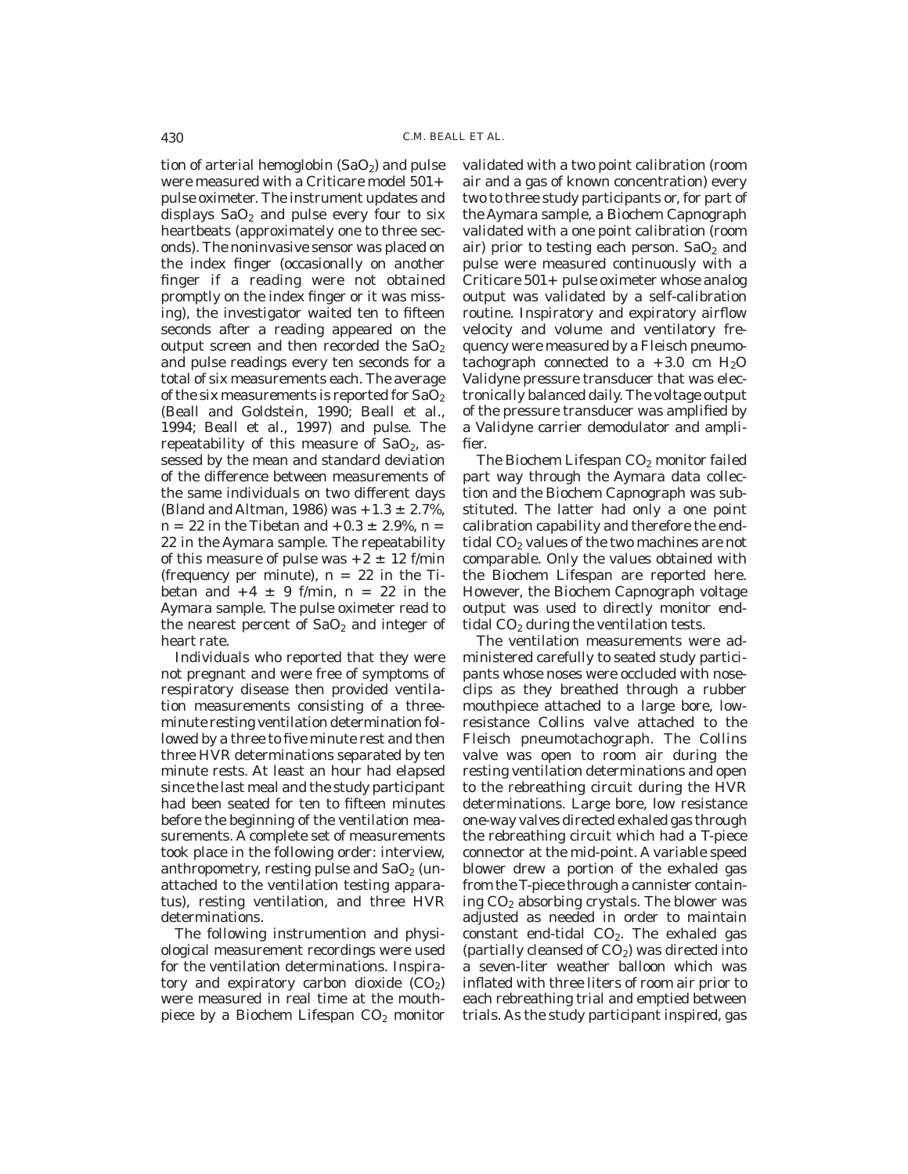tion of arterial hemoglobin  $(SaO<sub>2</sub>)$  and pulse were measured with a Criticare model 501+ pulse oximeter. The instrument updates and displays  $SaO<sub>2</sub>$  and pulse every four to six heartbeats (approximately one to three seconds). The noninvasive sensor was placed on the index finger (occasionally on another finger if a reading were not obtained promptly on the index finger or it was missing), the investigator waited ten to fifteen seconds after a reading appeared on the output screen and then recorded the  $SaO<sub>2</sub>$ and pulse readings every ten seconds for a total of six measurements each. The average of the six measurements is reported for  $SaO<sub>2</sub>$ (Beall and Goldstein, 1990; Beall et al., 1994; Beall et al., 1997) and pulse. The repeatability of this measure of  $SaO<sub>2</sub>$ , assessed by the mean and standard deviation of the difference between measurements of the same individuals on two different days (Bland and Altman, 1986) was  $+1.3 \pm 2.7$ %,  $n = 22$  in the Tibetan and  $+0.3 \pm 2.9$ %, n = 22 in the Aymara sample. The repeatability of this measure of pulse was  $+2 \pm 12$  f/min (frequency per minute),  $n = 22$  in the Tibetan and  $+4 \pm 9$  f/min, n = 22 in the Aymara sample. The pulse oximeter read to the nearest percent of  $SaO<sub>2</sub>$  and integer of heart rate.

Individuals who reported that they were not pregnant and were free of symptoms of respiratory disease then provided ventilation measurements consisting of a threeminute resting ventilation determination followed by a three to five minute rest and then three HVR determinations separated by ten minute rests. At least an hour had elapsed since the last meal and the study participant had been seated for ten to fifteen minutes before the beginning of the ventilation measurements. A complete set of measurements took place in the following order: interview, anthropometry, resting pulse and  $SaO<sub>2</sub>$  (unattached to the ventilation testing apparatus), resting ventilation, and three HVR determinations.

The following instrumention and physiological measurement recordings were used for the ventilation determinations. Inspiratory and expiratory carbon dioxide  $(CO<sub>2</sub>)$ were measured in real time at the mouthpiece by a Biochem Lifespan  $CO<sub>2</sub>$  monitor validated with a two point calibration (room air and a gas of known concentration) every two to three study participants or, for part of the Aymara sample, a Biochem Capnograph validated with a one point calibration (room air) prior to testing each person.  $SaO<sub>2</sub>$  and pulse were measured continuously with a Criticare  $501 + \text{pulse}}$  oximeter whose analog output was validated by a self-calibration routine. Inspiratory and expiratory airflow velocity and volume and ventilatory frequency were measured by a Fleisch pneumotachograph connected to a  $+3.0$  cm  $H<sub>2</sub>O$ Validyne pressure transducer that was electronically balanced daily. The voltage output of the pressure transducer was amplified by a Validyne carrier demodulator and amplifier.

The Biochem Lifespan  $CO<sub>2</sub>$  monitor failed part way through the Aymara data collection and the Biochem Capnograph was substituted. The latter had only a one point calibration capability and therefore the endtidal  $CO<sub>2</sub>$  values of the two machines are not comparable. Only the values obtained with the Biochem Lifespan are reported here. However, the Biochem Capnograph voltage output was used to directly monitor endtidal  $CO<sub>2</sub>$  during the ventilation tests.

The ventilation measurements were administered carefully to seated study participants whose noses were occluded with noseclips as they breathed through a rubber mouthpiece attached to a large bore, lowresistance Collins valve attached to the Fleisch pneumotachograph. The Collins valve was open to room air during the resting ventilation determinations and open to the rebreathing circuit during the HVR determinations. Large bore, low resistance one-way valves directed exhaled gas through the rebreathing circuit which had a T-piece connector at the mid-point. A variable speed blower drew a portion of the exhaled gas from the T-piece through a cannister containing  $CO<sub>2</sub>$  absorbing crystals. The blower was adjusted as needed in order to maintain constant end-tidal  $CO<sub>2</sub>$ . The exhaled gas (partially cleansed of  $CO<sub>2</sub>$ ) was directed into a seven-liter weather balloon which was inflated with three liters of room air prior to each rebreathing trial and emptied between trials. As the study participant inspired, gas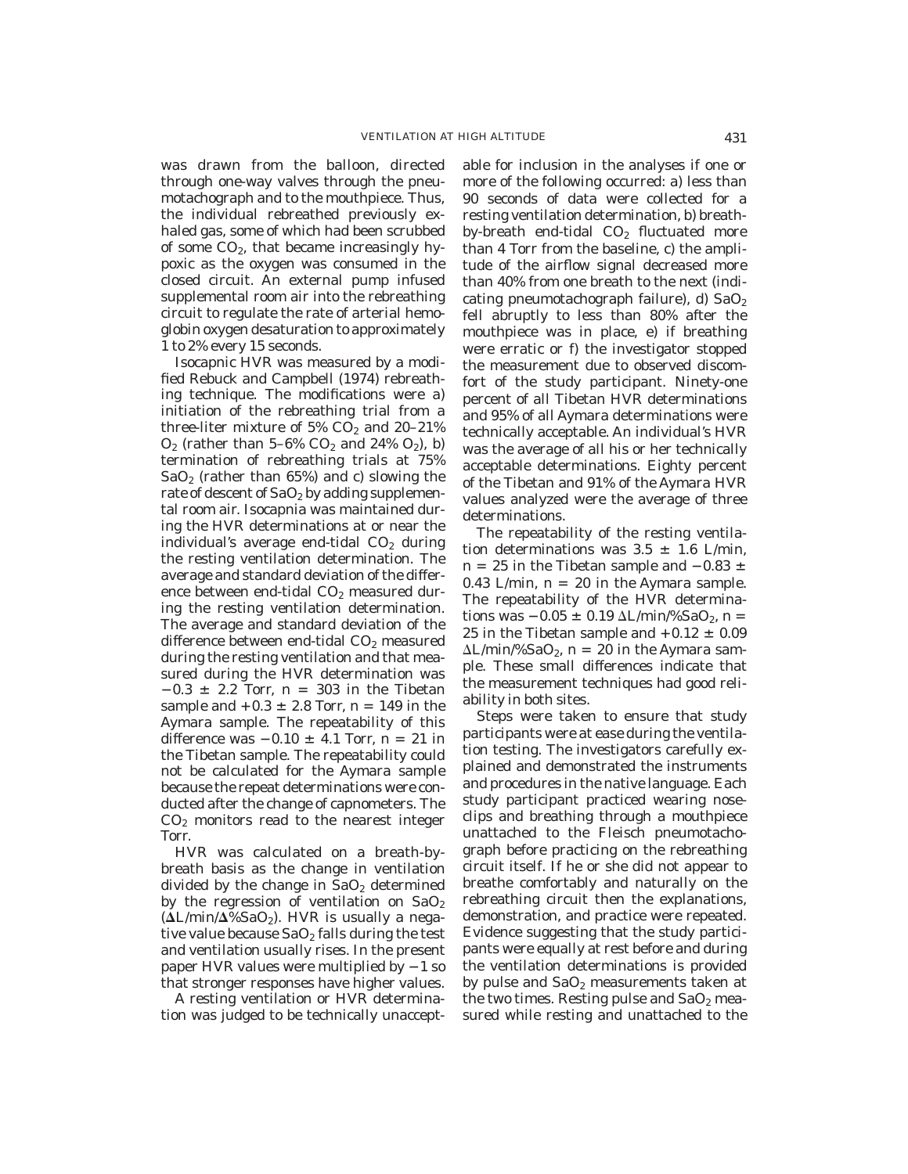was drawn from the balloon, directed through one-way valves through the pneumotachograph and to the mouthpiece. Thus, the individual rebreathed previously exhaled gas, some of which had been scrubbed of some  $CO<sub>2</sub>$ , that became increasingly hypoxic as the oxygen was consumed in the closed circuit. An external pump infused supplemental room air into the rebreathing circuit to regulate the rate of arterial hemoglobin oxygen desaturation to approximately 1 to 2% every 15 seconds.

Isocapnic HVR was measured by a modified Rebuck and Campbell (1974) rebreathing technique. The modifications were a) initiation of the rebreathing trial from a three-liter mixture of  $5\%$  CO<sub>2</sub> and  $20-21\%$  $O_2$  (rather than 5–6%  $CO_2$  and 24%  $O_2$ ), b) termination of rebreathing trials at 75%  $SaO<sub>2</sub>$  (rather than 65%) and c) slowing the rate of descent of  $SaO<sub>2</sub>$  by adding supplemental room air. Isocapnia was maintained during the HVR determinations at or near the individual's average end-tidal  $CO<sub>2</sub>$  during the resting ventilation determination. The average and standard deviation of the difference between end-tidal CO<sub>2</sub> measured during the resting ventilation determination. The average and standard deviation of the difference between end-tidal  $CO<sub>2</sub>$  measured during the resting ventilation and that measured during the HVR determination was  $-0.3 \pm 2.2$  Torr, n = 303 in the Tibetan sample and  $+0.3 \pm 2.8$  Torr, n = 149 in the Aymara sample. The repeatability of this difference was  $-0.10 \pm 4.1$  Torr, n = 21 in the Tibetan sample. The repeatability could not be calculated for the Aymara sample because the repeat determinations were conducted after the change of capnometers. The  $CO<sub>2</sub>$  monitors read to the nearest integer Torr.

HVR was calculated on a breath-bybreath basis as the change in ventilation divided by the change in  $SaO<sub>2</sub>$  determined by the regression of ventilation on  $SaO<sub>2</sub>$  $(\Delta L/min/\Delta\%SaO_2)$ . HVR is usually a negative value because  $SaO<sub>2</sub>$  falls during the test and ventilation usually rises. In the present paper HVR values were multiplied by  $-1$  so that stronger responses have higher values.

A resting ventilation or HVR determination was judged to be technically unacceptable for inclusion in the analyses if one or more of the following occurred: a) less than 90 seconds of data were collected for a resting ventilation determination, b) breathby-breath end-tidal  $CO<sub>2</sub>$  fluctuated more than 4 Torr from the baseline, c) the amplitude of the airflow signal decreased more than 40% from one breath to the next (indicating pneumotachograph failure), d)  $SaO<sub>2</sub>$ fell abruptly to less than 80% after the mouthpiece was in place, e) if breathing were erratic or f) the investigator stopped the measurement due to observed discomfort of the study participant. Ninety-one percent of all Tibetan HVR determinations and 95% of all Aymara determinations were technically acceptable. An individual's HVR was the average of all his or her technically acceptable determinations. Eighty percent of the Tibetan and 91% of the Aymara HVR values analyzed were the average of three determinations.

The repeatability of the resting ventilation determinations was  $3.5 \pm 1.6$  L/min,  $n = 25$  in the Tibetan sample and  $-0.83 \pm 0.83$ 0.43 L/min,  $n = 20$  in the Aymara sample. The repeatability of the HVR determinations was  $-0.05 \pm 0.19 \Delta L/min\%$ SaO<sub>2</sub>, n = 25 in the Tibetan sample and  $+0.12 \pm 0.09$  $\Delta L/min\%$ SaO<sub>2</sub>, n = 20 in the Aymara sample. These small differences indicate that the measurement techniques had good reliability in both sites.

Steps were taken to ensure that study participants were at ease during the ventilation testing. The investigators carefully explained and demonstrated the instruments and procedures in the native language. Each study participant practiced wearing noseclips and breathing through a mouthpiece unattached to the Fleisch pneumotachograph before practicing on the rebreathing circuit itself. If he or she did not appear to breathe comfortably and naturally on the rebreathing circuit then the explanations, demonstration, and practice were repeated. Evidence suggesting that the study participants were equally at rest before and during the ventilation determinations is provided by pulse and  $SaO<sub>2</sub>$  measurements taken at the two times. Resting pulse and  $SaO<sub>2</sub>$  measured while resting and unattached to the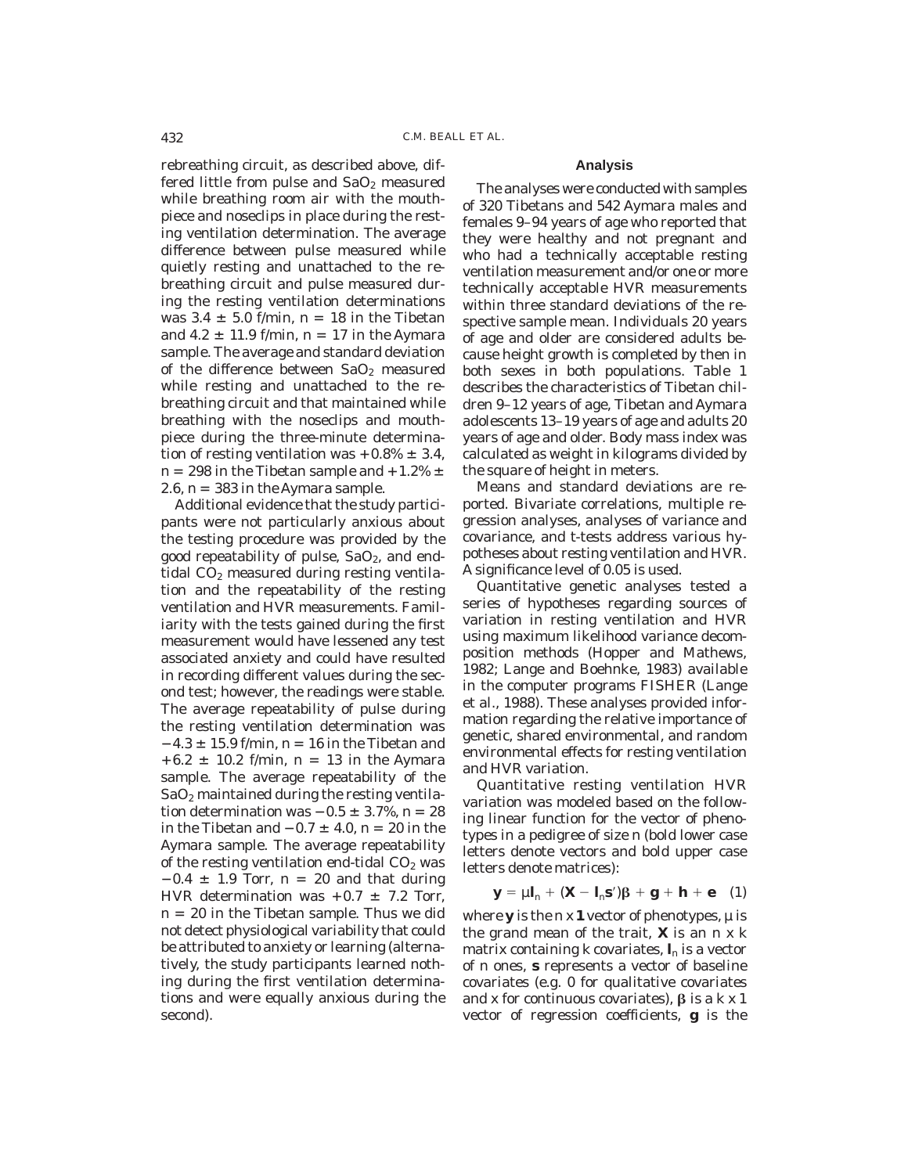rebreathing circuit, as described above, differed little from pulse and  $SaO<sub>2</sub>$  measured while breathing room air with the mouthpiece and noseclips in place during the resting ventilation determination. The average difference between pulse measured while quietly resting and unattached to the rebreathing circuit and pulse measured during the resting ventilation determinations was  $3.4 \pm 5.0$  f/min, n = 18 in the Tibetan and  $4.2 \pm 11.9$  f/min, n = 17 in the Aymara sample. The average and standard deviation of the difference between  $SaO<sub>2</sub>$  measured while resting and unattached to the rebreathing circuit and that maintained while breathing with the noseclips and mouthpiece during the three-minute determination of resting ventilation was  $+0.8\% \pm 3.4$ , n = 298 in the Tibetan sample and  $+1.2\% \pm$ 2.6,  $n = 383$  in the Aymara sample.

Additional evidence that the study participants were not particularly anxious about the testing procedure was provided by the good repeatability of pulse,  $SaO<sub>2</sub>$ , and endtidal  $CO<sub>2</sub>$  measured during resting ventilation and the repeatability of the resting ventilation and HVR measurements. Familiarity with the tests gained during the first measurement would have lessened any test associated anxiety and could have resulted in recording different values during the second test; however, the readings were stable. The average repeatability of pulse during the resting ventilation determination was  $-4.3 \pm 15.9$  f/min, n = 16 in the Tibetan and  $+6.2 \pm 10.2$  f/min, n = 13 in the Aymara sample. The average repeatability of the  $SaO<sub>2</sub>$  maintained during the resting ventilation determination was  $-0.5 \pm 3.7$ %, n = 28 in the Tibetan and  $-0.7 \pm 4.0$ , n = 20 in the Aymara sample. The average repeatability of the resting ventilation end-tidal  $CO<sub>2</sub>$  was  $-0.4 \pm 1.9$  Torr, n = 20 and that during HVR determination was  $+0.7 \pm 7.2$  Torr,  $n = 20$  in the Tibetan sample. Thus we did not detect physiological variability that could be attributed to anxiety or learning (alternatively, the study participants learned nothing during the first ventilation determinations and were equally anxious during the second).

#### **Analysis**

The analyses were conducted with samples of 320 Tibetans and 542 Aymara males and females 9–94 years of age who reported that they were healthy and not pregnant and who had a technically acceptable resting ventilation measurement and/or one or more technically acceptable HVR measurements within three standard deviations of the respective sample mean. Individuals 20 years of age and older are considered adults because height growth is completed by then in both sexes in both populations. Table 1 describes the characteristics of Tibetan children 9–12 years of age, Tibetan and Aymara adolescents 13–19 years of age and adults 20 years of age and older. Body mass index was calculated as weight in kilograms divided by the square of height in meters.

Means and standard deviations are reported. Bivariate correlations, multiple regression analyses, analyses of variance and covariance, and *t*-tests address various hypotheses about resting ventilation and HVR. A significance level of 0.05 is used.

Quantitative genetic analyses tested a series of hypotheses regarding sources of variation in resting ventilation and HVR using maximum likelihood variance decomposition methods (Hopper and Mathews, 1982; Lange and Boehnke, 1983) available in the computer programs FISHER (Lange et al., 1988). These analyses provided information regarding the relative importance of genetic, shared environmental, and random environmental effects for resting ventilation and HVR variation.

Quantitative resting ventilation HVR variation was modeled based on the following linear function for the vector of phenotypes in a pedigree of size *n* (bold lower case letters denote vectors and bold upper case letters denote matrices):

$$
\mathbf{y} = \mu \mathbf{l}_n + (\mathbf{X} - \mathbf{l}_n \mathbf{s}')\beta + \mathbf{g} + \mathbf{h} + \mathbf{e} \quad (1)
$$

where **y** is the  $nx$  **1** vector of phenotypes,  $\mu$  is the grand mean of the trait, **X** is an *nxk* matrix containing  $k$  covariates,  $\mathbf{l}_n$  is a vector of *n* ones, **s** represents a vector of baseline covariates (e.g. 0 for qualitative covariates and x for continuous covariates),  $\beta$  is a  $k \times 1$ vector of regression coefficients, **g** is the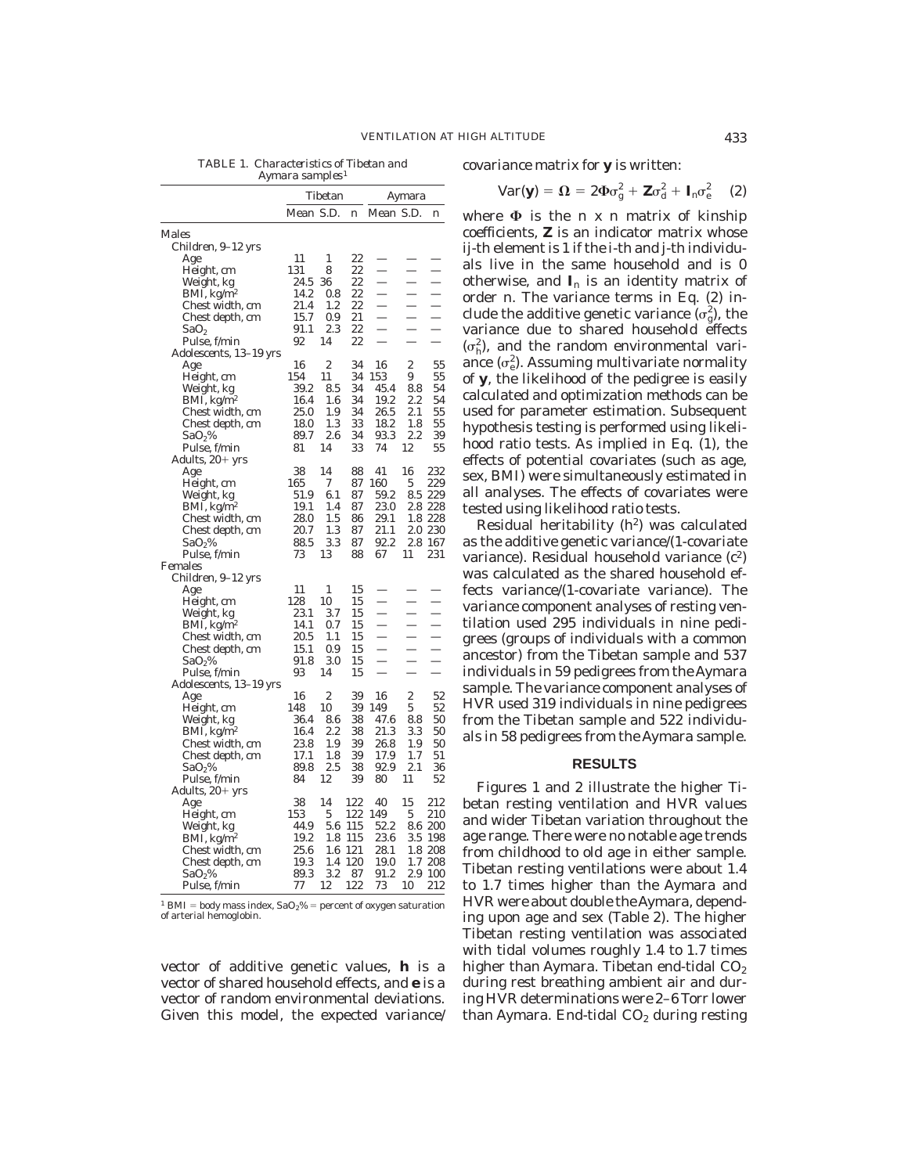*TABLE 1. Characteristics of Tibetan and Aymara samples*<sup>1</sup>

| covariance matrix for ${\bf y}$ is written: |  |  |
|---------------------------------------------|--|--|
|                                             |  |  |

$$
Var(\mathbf{y}) = \mathbf{\Omega} = 2\Phi\sigma_g^2 + \mathbf{Z}\sigma_d^2 + \mathbf{I}_n\sigma_e^2 \quad (2)
$$

Tibetan Aymara Mean S.D. n Mean S.D. n Males Children, 9–12 yrs Age 11 1 22 — — — Height, cm  $131$  8  $22$  - - -<br>Weight, kg  $24.5$  36  $22$  - -Weight, kg 24.5 36 22 — — — BMI,  $\text{kg/m}^2$  14.2 0.8 22 - - -<br>Chest width, cm 21.4 1.2 22 - -Chest width, cm  $21.4$   $1.2$   $22$   $-$ <br>Chest depth, cm  $15.7$   $0.9$   $21$   $-$ Chest depth, cm  $15.7$  0.9 21<br>SaO<sub>2</sub> 91.1 2.3 22  $SaO_2$  91.1 2.3 22 - -Pulse, f/min 92 14 22 Adolescents, 13–19 yrs Age 16 2 34 16 2 55 Height, cm  $154$  11 34 153 9 55<br>Weight, kg 39.2 8.5 34 45.4 8.8 54 Weight, kg 39.2 8.5 34 45.4 8.8<br>BMI, kg/m<sup>2</sup> 16.4 1.6 34 19.2 2.2 BMI, kg/m<sup>2</sup> 16.4 1.6 34 19.2 2.2 54<br>Chest width. cm 25.0 1.9 34 26.5 2.1 55 chest width, cm 25.0 1.9 34 26.5 2.1<br>Chest denth. cm 18.0 1.3 33 18.2 1.8 Chest depth, cm 18.0 1.3 33 18.2 1.8 55<br>SaO<sub>2</sub>% 89.7 2.6 34 93.3 2.2 39  $SaO<sub>2</sub>%$  89.7 2.6 34 93.3 2.2 39 Pulse, f/min 81 14 33 74 12 55 Adults,  $20+$  yrs Age 38 14 88 41 16 232 Age 38 14 88 41 16 232<br>
Height, cm 165 7 87 160 5 229<br>
Weight, kg 51.9 6.1 87 59.2 8.5 229 Weight, kg 51.9 6.1 87 59.2 8.5 229<br>BMI, kg/m<sup>2</sup> 19.1 1.4 87 23.0 2.8 228 BMI, kg/m<sup>2</sup> 19.1 1.4 87 23.0 2.8 228<br>Chest width. cm 28.0 1.5 86 29.1 1.8 228 Chest width, cm 28.0 1.5 86 29.1 1.8 228<br>Chest depth, cm 20.7 1.3 87 21.1 2.0 230 Chest depth, cm SaO<sub>2</sub>% 88.5 3.3 87 92.2 2.8 167<br>Pulse, f/min 73 13 88 67 11 231 Pulse, f/min Females Children, 9–12 yrs Age 11 1 15 — — — Height, cm  $128 \t10 \t15 - -$ <br>Weight, kg  $23.1 \t3.7 \t15 - -$ Weight, kg 23.1 3.7 15<br>BMI, kg/m<sup>2</sup> 14.1 0.7 15  $BMI, kg/m^2$  14.1 0.7 15<br>Chest width, cm 20.5 1.1 15 Chest width, cm  $20.5$  1.1  $15$  - - -<br>Chest depth, cm  $15.1$   $0.9$   $15$  - - -Chest depth, cm  $15.1$  0.9 15<br>SaO<sub>2</sub>% 91.8 3.0 15  $SaO_2\%$  91.8 3.0 15 - -Pulse, f/min 93 14 15 - -Adolescents, 13–19 yrs Age 16 2 39 16 2 52 Height, cm 148 10 39 149 5 52 Weight, kg 36.4 8.6 38 47.6 8.8 50<br>BMI, kg/m<sup>2</sup> 16.4 2.2 38 21.3 3.3 50 BMI, kg/m<sup>2</sup> 16.4 2.2 38 21.3 3.3 50<br>Chest width.cm 23.8 1.9 39 26.8 1.9 50 Chest width, cm 23.8 1.9 39 26.8 1.9 50 Chest depth, cm 17.1 1.8 39 17.9 1.7 51<br>SaO<sub>2</sub>% 89.8 2.5 38 92.9 2.1 36  $SaO<sub>2</sub>%$  89.8 2.5 38 92.9 2.1 36 Pulse, f/min 84 12 39 80 11 52 Adults,  $20+$  yrs Age 38 14 122 40 15 212 Height, cm  $153$  5 122 149 5 210<br>Weight, kg 44.9 5.6 115 52.2 8.6 200 Weight, kg 44.9 5.6 115 52.2 8.6 200<br>BMI, kg/m<sup>2</sup> 19.2 1.8 115 23.6 3.5 198 BMI, kg/m<sup>2</sup> 19.2 1.8 115 23.6 3.5 198<br>Chest width, cm 25.6 1.6 121 28.1 1.8 208 Chest width, cm 25.6 1.6 121 28.1 1.8 208<br>Chest depth, cm 19.3 1.4 120 19.0 1.7 208 Chest depth, cm 19.3 1.4 120 19.0<br>SaO<sub>2</sub>% 89.3 3.2 87 91.2 89.3 3.2 87 91.2 2.9 100<br>77 12 122 73 10 212 Pulse, f/min

 $^1$  BMI = body mass index, SaO2% = percent of oxygen saturation of arterial hemoglobin.

vector of additive genetic values, **h** is a vector of shared household effects, and **e** is a vector of random environmental deviations. Given this model, the expected variance/

where  $\Phi$  is the *n x n* matrix of kinship coefficients, **Z** is an indicator matrix whose *ij*-th element is 1 if the *i*-th and *j*-th individuals live in the same household and is 0 otherwise, and  $I_n$  is an identity matrix of order *n*. The variance terms in Eq. (2) include the additive genetic variance  $(\sigma_g^2)$ , the variance due to shared household effects  $(\sigma_h^2)$ , and the random environmental variance  $(\sigma_e^2)$ . Assuming multivariate normality of **y**, the likelihood of the pedigree is easily calculated and optimization methods can be used for parameter estimation. Subsequent hypothesis testing is performed using likelihood ratio tests. As implied in Eq. (1), the effects of potential covariates (such as age, sex, BMI) were simultaneously estimated in all analyses. The effects of covariates were tested using likelihood ratio tests.

Residual heritability  $(h^2)$  was calculated as the additive genetic variance/(1-covariate variance). Residual household variance  $(c^2)$ was calculated as the shared household effects variance/(1-covariate variance). The variance component analyses of resting ventilation used 295 individuals in nine pedigrees (groups of individuals with a common ancestor) from the Tibetan sample and 537 individuals in 59 pedigrees from the Aymara sample. The variance component analyses of HVR used 319 individuals in nine pedigrees from the Tibetan sample and 522 individuals in 58 pedigrees from the Aymara sample.

## **RESULTS**

Figures 1 and 2 illustrate the higher Tibetan resting ventilation and HVR values and wider Tibetan variation throughout the age range. There were no notable age trends from childhood to old age in either sample. Tibetan resting ventilations were about 1.4 to 1.7 times higher than the Aymara and HVR were about double theAymara, depending upon age and sex (Table 2). The higher Tibetan resting ventilation was associated with tidal volumes roughly 1.4 to 1.7 times higher than Aymara. Tibetan end-tidal  $CO<sub>2</sub>$ during rest breathing ambient air and during HVR determinations were 2–6 Torr lower than Aymara. End-tidal  $CO<sub>2</sub>$  during resting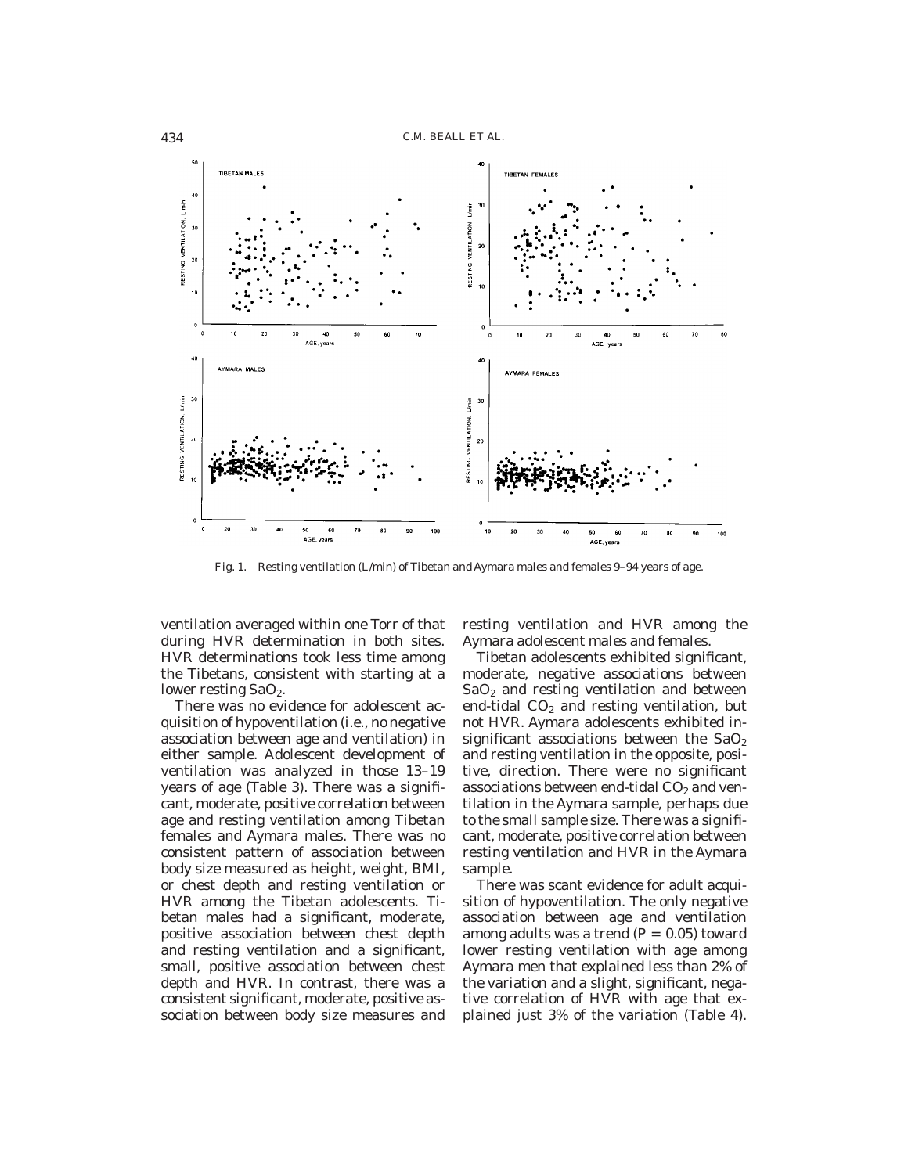

Fig. 1. Resting ventilation (L/min) of Tibetan and Aymara males and females 9–94 years of age.

ventilation averaged within one Torr of that during HVR determination in both sites. HVR determinations took less time among the Tibetans, consistent with starting at a lower resting SaO<sub>2</sub>.

There was no evidence for adolescent acquisition of hypoventilation (i.e., no negative association between age and ventilation) in either sample. Adolescent development of ventilation was analyzed in those 13–19 years of age (Table 3). There was a significant, moderate, positive correlation between age and resting ventilation among Tibetan females and Aymara males. There was no consistent pattern of association between body size measured as height, weight, BMI, or chest depth and resting ventilation or HVR among the Tibetan adolescents. Tibetan males had a significant, moderate, positive association between chest depth and resting ventilation and a significant, small, positive association between chest depth and HVR. In contrast, there was a consistent significant, moderate, positive association between body size measures and

resting ventilation and HVR among the Aymara adolescent males and females.

Tibetan adolescents exhibited significant, moderate, negative associations between  $SaO<sub>2</sub>$  and resting ventilation and between end-tidal  $CO<sub>2</sub>$  and resting ventilation, but not HVR. Aymara adolescents exhibited insignificant associations between the  $SaO<sub>2</sub>$ and resting ventilation in the opposite, positive, direction. There were no significant associations between end-tidal  $CO<sub>2</sub>$  and ventilation in the Aymara sample, perhaps due to the small sample size. There was a significant, moderate, positive correlation between resting ventilation and HVR in the Aymara sample.

There was scant evidence for adult acquisition of hypoventilation. The only negative association between age and ventilation among adults was a trend  $(P = 0.05)$  toward lower resting ventilation with age among Aymara men that explained less than 2% of the variation and a slight, significant, negative correlation of HVR with age that explained just 3% of the variation (Table 4).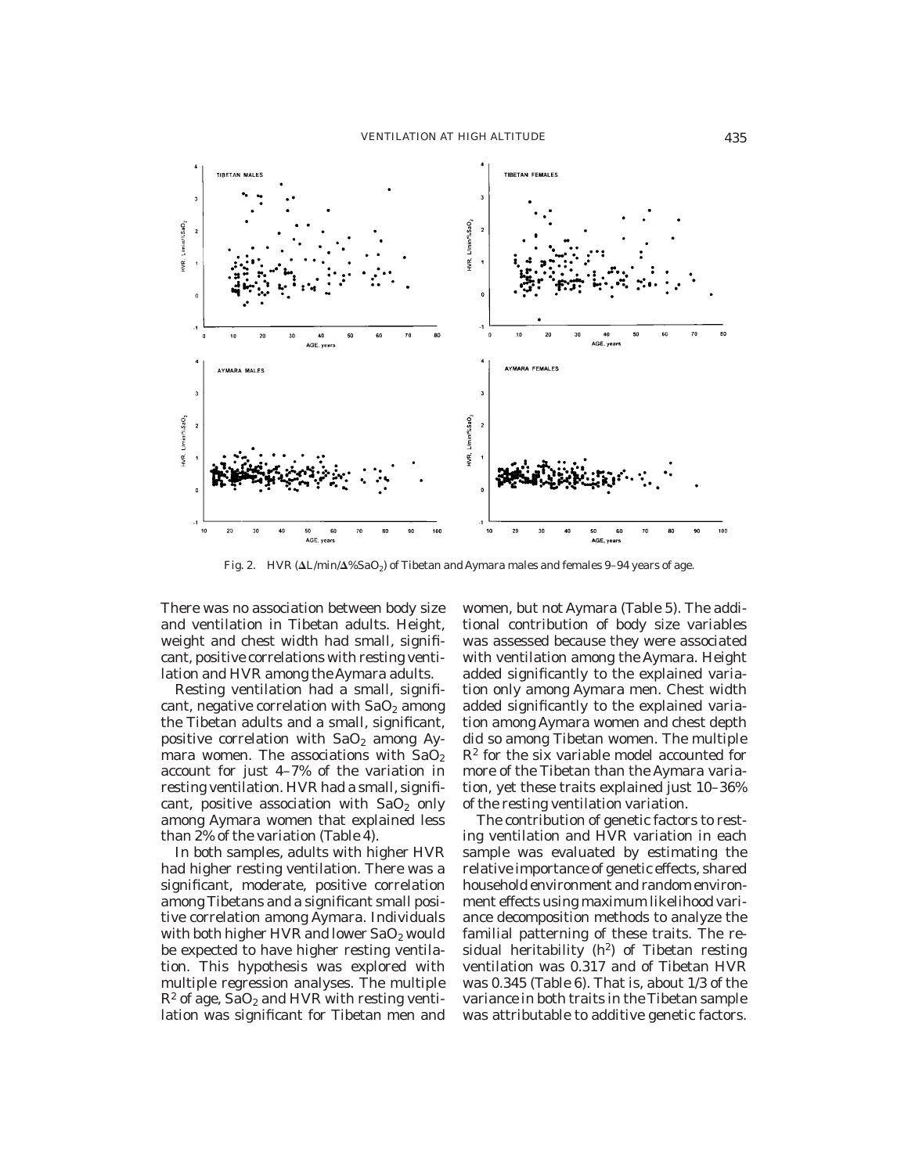

Fig. 2. HVR  $(\Delta L/min \Delta'$ %SaO<sub>2</sub>) of Tibetan and Aymara males and females 9–94 years of age.

There was no association between body size and ventilation in Tibetan adults. Height, weight and chest width had small, significant, positive correlations with resting ventilation and HVR among the Aymara adults.

Resting ventilation had a small, significant, negative correlation with  $SaO<sub>2</sub>$  among the Tibetan adults and a small, significant, positive correlation with  $SaO<sub>2</sub>$  among Aymara women. The associations with  $SaO<sub>2</sub>$ account for just 4–7% of the variation in resting ventilation. HVR had a small, significant, positive association with  $SaO<sub>2</sub>$  only among Aymara women that explained less than 2% of the variation (Table 4).

In both samples, adults with higher HVR had higher resting ventilation. There was a significant, moderate, positive correlation among Tibetans and a significant small positive correlation among Aymara. Individuals with both higher HVR and lower  $SaO<sub>2</sub>$  would be expected to have higher resting ventilation. This hypothesis was explored with multiple regression analyses. The multiple  $R^2$  of age, SaO<sub>2</sub> and HVR with resting ventilation was significant for Tibetan men and

women, but not Aymara (Table 5). The additional contribution of body size variables was assessed because they were associated with ventilation among the Aymara. Height added significantly to the explained variation only among Aymara men. Chest width added significantly to the explained variation among Aymara women and chest depth did so among Tibetan women. The multiple  $\mathbb{R}^2$  for the six variable model accounted for more of the Tibetan than the Aymara variation, yet these traits explained just 10–36% of the resting ventilation variation.

The contribution of genetic factors to resting ventilation and HVR variation in each sample was evaluated by estimating the relative importance of genetic effects, shared household environment and random environment effects using maximum likelihood variance decomposition methods to analyze the familial patterning of these traits. The residual heritability  $(h^2)$  of Tibetan resting ventilation was 0.317 and of Tibetan HVR was 0.345 (Table 6). That is, about 1/3 of the variance in both traits in the Tibetan sample was attributable to additive genetic factors.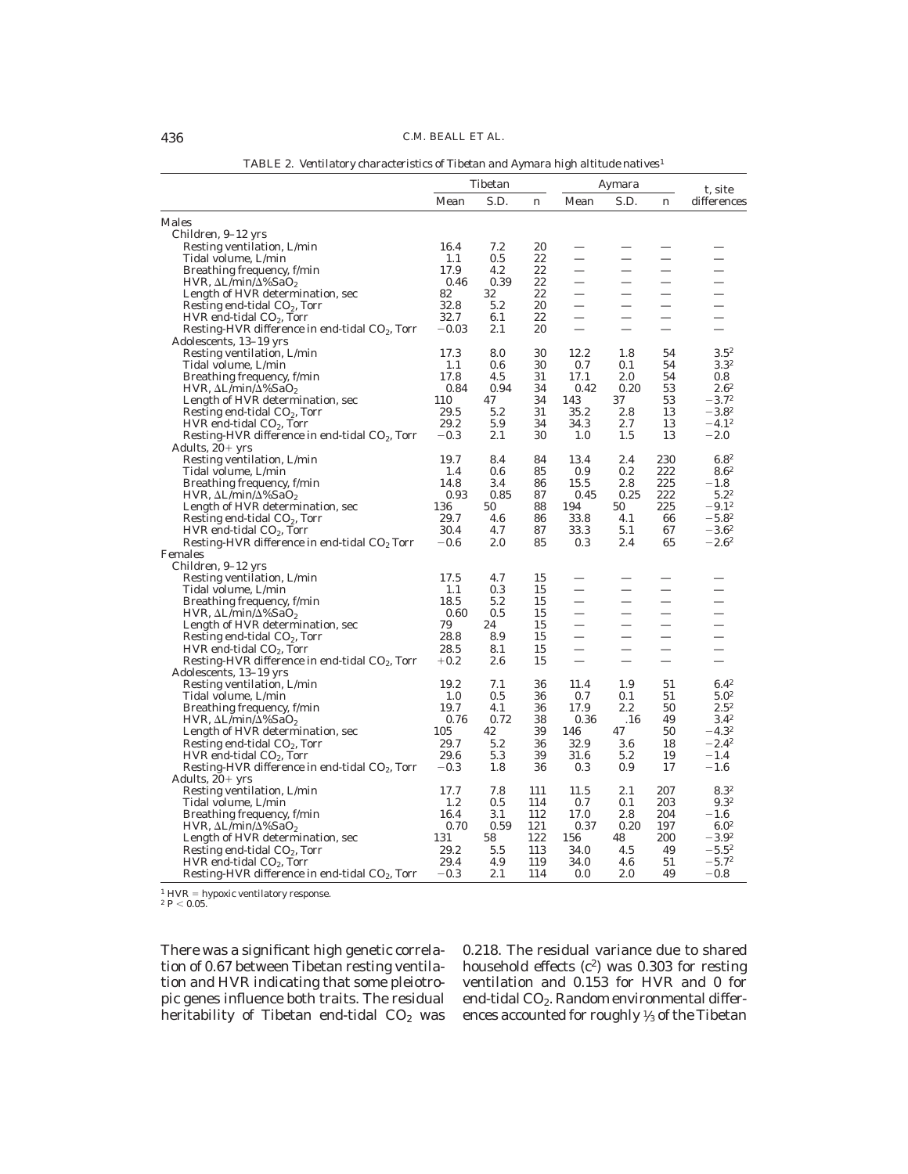|                                                  | Tibetan |      | Aymara |                          |                          | t, site |                  |
|--------------------------------------------------|---------|------|--------|--------------------------|--------------------------|---------|------------------|
|                                                  | Mean    | S.D. | n      | Mean                     | S.D.                     | n       | differences      |
| Males                                            |         |      |        |                          |                          |         |                  |
| Children, 9–12 yrs                               |         |      |        |                          |                          |         |                  |
| Resting ventilation, L/min                       | 16.4    | 7.2  | 20     |                          |                          |         |                  |
| Tidal volume, L/min                              | 1.1     | 0.5  | 22     |                          |                          |         |                  |
| Breathing frequency, f/min                       | 17.9    | 4.2  | 22     | $\overline{\phantom{0}}$ | $\overline{\phantom{0}}$ |         |                  |
| HVR, $\Delta L/min/\Delta\%$ SaO <sub>2</sub>    | 0.46    | 0.39 | 22     | —                        |                          |         |                  |
| Length of HVR determination, sec                 | 82      | 32   | 22     |                          |                          |         |                  |
| Resting end-tidal $CO2$ , Torr                   | 32.8    | 5.2  | 20     |                          |                          |         |                  |
| $HVR$ end-tidal $CO2$ , Torr                     | 32.7    | 6.1  | 22     | $\overline{\phantom{0}}$ |                          |         |                  |
| Resting-HVR difference in end-tidal $CO2$ , Torr | $-0.03$ | 2.1  | 20     | $\overline{\phantom{0}}$ |                          |         |                  |
| Adolescents, 13-19 yrs                           |         |      |        |                          |                          |         |                  |
| Resting ventilation, L/min                       | 17.3    | 8.0  | 30     | 12.2                     | 1.8                      | 54      | $3.5^{2}$        |
| Tidal volume, L/min                              | 1.1     | 0.6  | 30     | 0.7                      | 0.1                      | 54      | $3.3^{2}$        |
| Breathing frequency, f/min                       | 17.8    | 4.5  | 31     | 17.1                     | 2.0                      | 54      | 0.8              |
| HVR, $\Delta L/min/\Delta\%$ SaO <sub>2</sub>    | 0.84    | 0.94 | 34     | 0.42                     | 0.20                     | 53      | $2.6^{2}$        |
| Length of HVR determination, sec                 | 110     | 47   | 34     | 143                      | 37                       | 53      | $-3.7^{2}$       |
| Resting end-tidal $CO2$ , Torr                   | 29.5    | 5.2  | 31     | 35.2                     | 2.8                      | 13      | $-3.8^{2}$       |
| $HVR$ end-tidal $CO2$ , Torr                     | 29.2    | 5.9  | 34     | 34.3                     | 2.7                      | 13      | $-4.1^{2}$       |
| Resting-HVR difference in end-tidal $CO2$ , Torr | $-0.3$  | 2.1  | 30     | 1.0                      | 1.5                      | 13      | $^{-2.0}$        |
| Adults, $20+$ yrs                                |         |      |        |                          |                          |         |                  |
| Resting ventilation, L/min                       | 19.7    | 8.4  | 84     | 13.4                     | 2.4                      | 230     | $6.8^{2}$        |
| Tidal volume, L/min                              | 1.4     | 0.6  | 85     | 0.9                      | 0.2                      | 222     | $8.6^{2}$        |
| Breathing frequency, f/min                       | 14.8    | 3.4  | 86     | 15.5                     | 2.8                      | 225     | $-1.8$           |
| HVR, $\Delta L/min/\Delta\%$ SaO <sub>2</sub>    | 0.93    | 0.85 | 87     | 0.45                     | 0.25                     | 222     | $5.2^{2}$        |
| Length of HVR determination, sec                 | 136     | 50   | 88     | 194                      | 50                       | 225     | $-9.1^{2}$       |
| Resting end-tidal $CO2$ , Torr                   | 29.7    | 4.6  | 86     | 33.8                     | 4.1                      | 66      | $-5.8^{2}$       |
| $HVR$ end-tidal $CO2$ , Torr                     | 30.4    | 4.7  | 87     | 33.3                     | 5.1                      | 67      | $-3.6^{2}$       |
| Resting-HVR difference in end-tidal $CO2$ Torr   | $-0.6$  | 2.0  | 85     | 0.3                      | 2.4                      | 65      | $-2.6^2$         |
| Females                                          |         |      |        |                          |                          |         |                  |
| Children, 9-12 yrs<br>Resting ventilation, L/min | 17.5    | 4.7  | 15     |                          |                          |         |                  |
| Tidal volume, L/min                              | 1.1     | 0.3  | 15     |                          |                          |         |                  |
| Breathing frequency, f/min                       | 18.5    | 5.2  | 15     | -                        | —                        |         |                  |
| HVR, $\Delta L/min/\Delta\%$ SaO <sub>2</sub>    | 0.60    | 0.5  | 15     |                          |                          |         |                  |
| Length of HVR determination, sec                 | 79      | 24   | 15     |                          |                          |         |                  |
| Resting end-tidal $CO2$ , Torr                   | 28.8    | 8.9  | 15     |                          |                          |         |                  |
| $HVR$ end-tidal $CO2$ , Torr                     | 28.5    | 8.1  | 15     | $\overline{\phantom{0}}$ |                          |         |                  |
| Resting-HVR difference in end-tidal $CO2$ , Torr | $+0.2$  | 2.6  | 15     | $\overline{\phantom{0}}$ |                          |         |                  |
| Adolescents, 13-19 yrs                           |         |      |        |                          |                          |         |                  |
| Resting ventilation, L/min                       | 19.2    | 7.1  | 36     | 11.4                     | 1.9                      | 51      | $6.4^{2}$        |
| Tidal volume, L/min                              | 1.0     | 0.5  | 36     | 0.7                      | 0.1                      | 51      | 5.0 <sup>2</sup> |
| Breathing frequency, f/min                       | 19.7    | 4.1  | 36     | 17.9                     | 2.2                      | 50      | $2.5^{2}$        |
| HVR, $\Delta L/min/\Delta\%$ SaO <sub>2</sub>    | 0.76    | 0.72 | 38     | 0.36                     | .16                      | 49      | $3.4^{2}$        |
| Length of HVR determination, sec                 | 105     | 42   | 39     | 146                      | 47                       | 50      | $-4.3^{2}$       |
| Resting end-tidal $CO2$ , Torr                   | 29.7    | 5.2  | 36     | 32.9                     | 3.6                      | 18      | $-2.4^{2}$       |
| $HVR$ end-tidal $CO2$ , Torr                     | 29.6    | 5.3  | 39     | 31.6                     | 5.2                      | 19      | $-1.4$           |
| Resting-HVR difference in end-tidal $CO2$ , Torr | $-0.3$  | 1.8  | 36     | 0.3                      | 0.9                      | 17      | $^{-1.6}$        |
| Adults, $20+$ yrs                                |         |      |        |                          |                          |         |                  |
| Resting ventilation, L/min                       | 17.7    | 7.8  | 111    | 11.5                     | 2.1                      | 207     | $8.3^{2}$        |
| Tidal volume, L/min                              | 1.2     | 0.5  | 114    | 0.7                      | 0.1                      | 203     | 9.3 <sup>2</sup> |
| Breathing frequency, f/min                       | 16.4    | 3.1  | 112    | 17.0                     | 2.8                      | 204     | $-1.6$           |
| HVR, $\Delta L/min/\Delta\%$ SaO <sub>2</sub>    | 0.70    | 0.59 | 121    | 0.37                     | 0.20                     | 197     | 6.0 <sup>2</sup> |
| Length of HVR determination, sec                 | 131     | 58   | 122    | 156                      | 48                       | 200     | $-3.9^{2}$       |
| Resting end-tidal $CO2$ , Torr                   | 29.2    | 5.5  | 113    | 34.0                     | 4.5                      | 49      | $-5.5^{2}$       |
| $HVR$ end-tidal $CO2$ , Torr                     | 29.4    | 4.9  | 119    | 34.0                     | 4.6                      | 51      | $-5.7^{2}$       |
| Resting-HVR difference in end-tidal $CO2$ , Torr | $-0.3$  | 2.1  | 114    | 0.0                      | 2.0                      | 49      | $-0.8$           |

*TABLE 2. Ventilatory characteristics of Tibetan and Aymara high altitude natives*<sup>1</sup>

<sup>1</sup> HVR = hypoxic ventilatory response.<br><sup>2</sup>  $P < 0.05$ .

There was a significant high genetic correlation of 0.67 between Tibetan resting ventilation and HVR indicating that some pleiotropic genes influence both traits. The residual heritability of Tibetan end-tidal  $CO<sub>2</sub>$  was 0.218. The residual variance due to shared household effects  $(c^2)$  was 0.303 for resting ventilation and 0.153 for HVR and 0 for end-tidal CO<sub>2</sub>. Random environmental differences accounted for roughly <sup>1</sup> ⁄3 of the Tibetan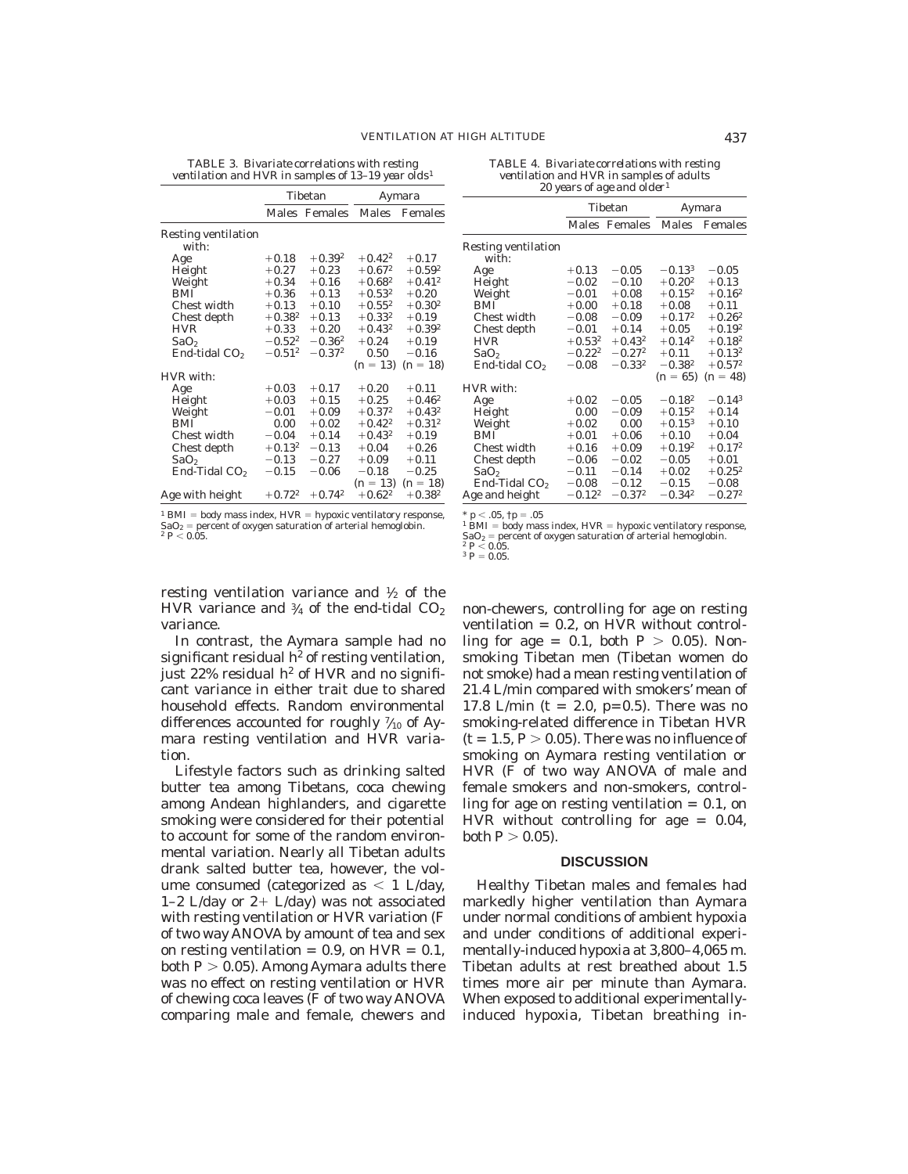*TABLE 3. Bivariate correlations with resting ventilation and HVR in samples of 13–19 year olds*<sup>1</sup>

|                     |             | Tibetan       | Aymara      |                       |  |
|---------------------|-------------|---------------|-------------|-----------------------|--|
|                     |             | Males Females | Males       | Females               |  |
| Resting ventilation |             |               |             |                       |  |
| with:               |             |               |             |                       |  |
| Age                 | $+0.18$     | $+0.39^{2}$   | $+0.42^2$   | $+0.17$               |  |
| Height              | $+0.27$     | $+0.23$       | $+0.67^{2}$ | $+0.59^{2}$           |  |
| Weight              | $+0.34$     | $+0.16$       | $+0.68^{2}$ | $+0.41^{2}$           |  |
| <b>BMI</b>          | $+0.36$     | $+0.13$       | $+0.53^{2}$ | $+0.20$               |  |
| Chest width         | $+0.13$     | $+0.10$       | $+0.55^{2}$ | $+0.30^{2}$           |  |
| Chest depth         | $+0.38^{2}$ | $+0.13$       | $+0.33^{2}$ | $+0.19$               |  |
| <b>HVR</b>          | $+0.33$     | $+0.20$       | $+0.43^{2}$ | $+0.39^{2}$           |  |
| SaO <sub>2</sub>    | $-0.52^{2}$ | $-0.36^{2}$   | $+0.24$     | $+0.19$               |  |
| End-tidal $CO2$     | $-0.51^{2}$ | $-0.37^{2}$   | 0.50        | $-0.16$               |  |
|                     |             |               |             | $(n = 13)$ $(n = 18)$ |  |
| HVR with:           |             |               |             |                       |  |
| Age                 | $+0.03$     | $+0.17$       | $+0.20$     | $+0.11$               |  |
| Height              | $+0.03$     | $+0.15$       | $+0.25$     | $+0.46^2$             |  |
| Weight              | $-0.01$     | $+0.09$       | $+0.37^{2}$ | $+0.43^{2}$           |  |
| <b>BMI</b>          | 0.00        | $+0.02$       | $+0.42^2$   | $+0.31^{2}$           |  |
| Chest width         | $-0.04$     | $+0.14$       | $+0.43^{2}$ | $+0.19$               |  |
| Chest depth         | $+0.13^{2}$ | $-0.13$       | $+0.04$     | $+0.26$               |  |
| SaO <sub>2</sub>    | $-0.13$     | $-0.27$       | $+0.09$     | $+0.11$               |  |
| End-Tidal $CO2$     | $-0.15$     | $-0.06$       | $-0.18$     | $-0.25$               |  |
|                     |             |               | $(n = 13)$  | $(n = 18)$            |  |
| Age with height     | $+0.72^2$   | $+0.74^2$     | $+0.62^2$   | $+0.38^{2}$           |  |

| TABLE 4. Bivariate correlations with resting |  |
|----------------------------------------------|--|
| ventilation and HVR in samples of adults     |  |
| 20 years of age and older <sup>1</sup>       |  |

|                                     |             | Tibetan       | Aymara      |             |  |
|-------------------------------------|-------------|---------------|-------------|-------------|--|
|                                     |             | Males Females | Males       | Females     |  |
| <b>Resting ventilation</b><br>with: |             |               |             |             |  |
| Age                                 | $+0.13$     | $-0.05$       | $-0.13^{3}$ | $-0.05$     |  |
| Height                              | $-0.02$     | $-0.10$       | $+0.20^{2}$ | $+0.13$     |  |
| Weight                              | $-0.01$     | $+0.08$       | $+0.15^{2}$ | $+0.16^2$   |  |
| <b>BMI</b>                          | $+0.00$     | $+0.18$       | $+0.08$     | $+0.11$     |  |
| Chest width                         | $-0.08$     | $-0.09$       | $+0.17^{2}$ | $+0.26^2$   |  |
| Chest depth                         | $-0.01$     | $+0.14$       | $+0.05$     | $+0.19^{2}$ |  |
| <b>HVR</b>                          | $+0.53^{2}$ | $+0.43^2$     | $+0.14^{2}$ | $+0.18^{2}$ |  |
| SaO <sub>2</sub>                    | $-0.22^{2}$ | $-0.27^{2}$   | $+0.11$     | $+0.13^{2}$ |  |
| End-tidal CO <sub>2</sub>           | $-0.08$     | $-0.33^{2}$   | $-0.38^{2}$ | $+0.57^{2}$ |  |
|                                     |             |               | $(n = 65)$  | $(n = 48)$  |  |
| HVR with:                           |             |               |             |             |  |
| Age                                 | $+0.02$     | $-0.05$       | $-0.18^{2}$ | $-0.14^{3}$ |  |
| Height                              | 0.00        | $-0.09$       | $+0.15^{2}$ | $+0.14$     |  |
| Weight                              | $+0.02$     | 0.00          | $+0.15^{3}$ | $+0.10$     |  |
| <b>BMI</b>                          | $+0.01$     | $+0.06$       | $+0.10$     | $+0.04$     |  |
| Chest width                         | $+0.16$     | $+0.09$       | $+0.19^{2}$ | $+0.17^{2}$ |  |
| Chest depth                         | $-0.06$     | $-0.02$       | $-0.05$     | $+0.01$     |  |
| SaO <sub>2</sub>                    | $-0.11$     | $-0.14$       | $+0.02$     | $+0.25^2$   |  |
| End-Tidal CO <sub>2</sub>           | $-0.08$     | $-0.12$       | $-0.15$     | $-0.08$     |  |
| Age and height                      | $-0.12^{2}$ | $-0.37^{2}$   | $-0.34^{2}$ | $-0.27^{2}$ |  |

<sup>1</sup> BMI = body mass index, HVR = hypoxic ventilatory response,<br>SaO<sub>2</sub> = percent of oxygen saturation of arterial hemoglobin.<br><sup>2</sup> *P* < 0.05.

 $<$  .05,  $\dagger p = .05$ <sup>1</sup> BMI = body mass index, HVR = hypoxic ventilatory response,<br>SaO<sub>2</sub> = percent of oxygen saturation of arterial hemoglobin.<br><sup>2</sup> *P* < 0.05.

 $\frac{2}{3} P \le 0.05$ .<br> $\frac{3}{5} P = 0.05$ .

resting ventilation variance and <sup>1</sup> ⁄2 of the HVR variance and  $\frac{3}{4}$  of the end-tidal CO $_2$ variance.

In contrast, the Aymara sample had no significant residual  $h^2$  of resting ventilation, just 22% residual  $h^2$  of HVR and no significant variance in either trait due to shared household effects. Random environmental differences accounted for roughly  $\frac{7}{10}$  of Aymara resting ventilation and HVR variation.

Lifestyle factors such as drinking salted butter tea among Tibetans, coca chewing among Andean highlanders, and cigarette smoking were considered for their potential to account for some of the random environmental variation. Nearly all Tibetan adults drank salted butter tea, however, the volume consumed (categorized as  $< 1$  L/day, 1–2 L/day or  $2+$  L/day) was not associated with resting ventilation or HVR variation (F of two way ANOVA by amount of tea and sex on resting ventilation  $= 0.9$ , on HVR  $= 0.1$ , both  $P > 0.05$ ). Among Aymara adults there was no effect on resting ventilation or HVR of chewing coca leaves (F of two way ANOVA comparing male and female, chewers and non-chewers, controlling for age on resting ventilation  $= 0.2$ , on HVR without controlling for age  $= 0.1$ , both  $P > 0.05$ ). Nonsmoking Tibetan men (Tibetan women do not smoke) had a mean resting ventilation of 21.4 L/min compared with smokers' mean of 17.8 L/min (t = 2.0, p=0.5). There was no smoking-related difference in Tibetan HVR  $(t = 1.5, P > 0.05)$ . There was no influence of smoking on Aymara resting ventilation or HVR (F of two way ANOVA of male and female smokers and non-smokers, controlling for age on resting ventilation  $= 0.1$ , on HVR without controlling for age  $= 0.04$ ,  $both P > 0.05$ ).

#### **DISCUSSION**

Healthy Tibetan males and females had markedly higher ventilation than Aymara under normal conditions of ambient hypoxia and under conditions of additional experimentally-induced hypoxia at 3,800–4,065 m. Tibetan adults at rest breathed about 1.5 times more air per minute than Aymara. When exposed to additional experimentallyinduced hypoxia, Tibetan breathing in-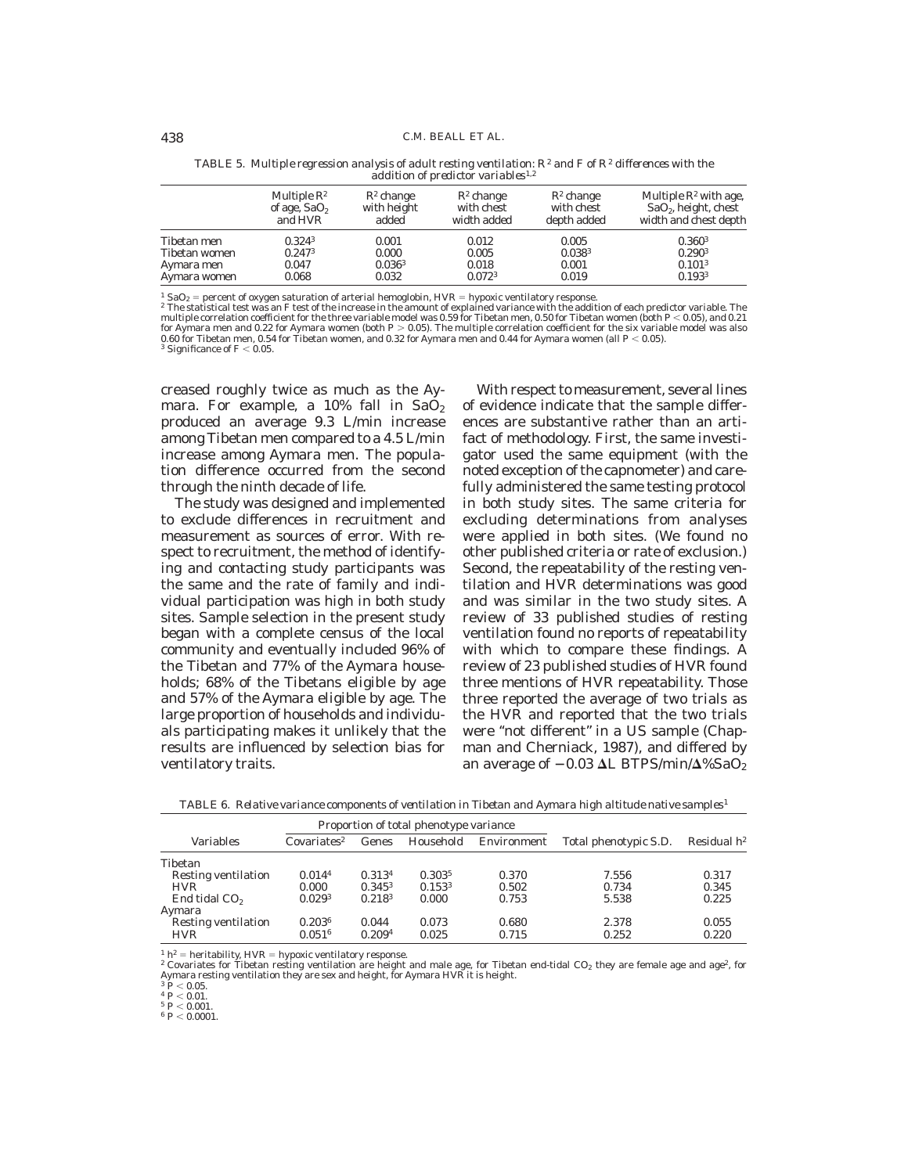|               | Multiple $\mathbb{R}^2$ | $R^2$ change       | $R^2$ change       | $R^2$ change | Multiple $\mathbb{R}^2$ with age, |
|---------------|-------------------------|--------------------|--------------------|--------------|-----------------------------------|
|               | of age, $SaO2$          | with height        | with chest         | with chest   | $SaO2$ , height, chest            |
|               | and HVR                 | added              | width added        | depth added  | width and chest depth             |
| Tibetan men   | 0.3243                  | 0.001              | 0.012              | 0.005        | 0.360 <sup>3</sup>                |
| Tibetan women | 0.247 <sup>3</sup>      | 0.000              | 0.005              | $0.038^{3}$  | 0.290 <sup>3</sup>                |
| Aymara men    | 0.047                   | 0.036 <sup>3</sup> | 0.018              | 0.001        | 0.101 <sup>3</sup>                |
| Aymara women  | 0.068                   | 0.032              | 0.072 <sup>3</sup> | 0.019        | 0.1933                            |

*TABLE 5. Multiple regression analysis of adult resting ventilation: R2 and F of R2 differences with the addition of predictor variables*1,2

<sup>1</sup> SaO<sub>2</sub> = percent of oxygen saturation of arterial hemoglobin, HVR = hypoxic ventilatory response.<br><sup>2</sup> The statistical test was an F test of the increase in the amount of explained variance with the addition of each pre for Aymara men and 0.22 for Aymara women (both  $P > 0.05$ ). The multiple correlation coefficient for the six variable model was also 0.60 for Tibetan men, 0.54 for Tibetan women, and 0.32 for Aymara men and 0.44 for Aymara women (all  $P$  < 0.05).<br><sup>3</sup> Significance of F < 0.05.

creased roughly twice as much as the Aymara. For example, a  $10\%$  fall in  $SaO<sub>2</sub>$ produced an average 9.3 L/min increase among Tibetan men compared to a 4.5 L/min increase among Aymara men. The population difference occurred from the second through the ninth decade of life.

The study was designed and implemented to exclude differences in recruitment and measurement as sources of error. With respect to recruitment, the method of identifying and contacting study participants was the same and the rate of family and individual participation was high in both study sites. Sample selection in the present study began with a complete census of the local community and eventually included 96% of the Tibetan and 77% of the Aymara households; 68% of the Tibetans eligible by age and 57% of the Aymara eligible by age. The large proportion of households and individuals participating makes it unlikely that the results are influenced by selection bias for ventilatory traits.

With respect to measurement, several lines of evidence indicate that the sample differences are substantive rather than an artifact of methodology. First, the same investigator used the same equipment (with the noted exception of the capnometer) and carefully administered the same testing protocol in both study sites. The same criteria for excluding determinations from analyses were applied in both sites. (We found no other published criteria or rate of exclusion.) Second, the repeatability of the resting ventilation and HVR determinations was good and was similar in the two study sites. A review of 33 published studies of resting ventilation found no reports of repeatability with which to compare these findings. A review of 23 published studies of HVR found three mentions of HVR repeatability. Those three reported the average of two trials as the HVR and reported that the two trials were "not different" in a US sample (Chapman and Cherniack, 1987), and differed by an average of  $-0.03$   $\Delta L$  BTPS/min/ $\Delta\%$ SaO<sub>2</sub>

| Variables                  | Covariates <sup>2</sup> | Genes       | Household          | Environment | Total phenotypic S.D. | Residual $h^2$ |
|----------------------------|-------------------------|-------------|--------------------|-------------|-----------------------|----------------|
| Tibetan                    |                         |             |                    |             |                       |                |
| <b>Resting ventilation</b> | 0.0144                  | 0.3134      | 0.3035             | 0.370       | 7.556                 | 0.317          |
| <b>HVR</b>                 | 0.000                   | $0.345^3$   | 0.153 <sup>3</sup> | 0.502       | 0.734                 | 0.345          |
| End tidal CO <sub>2</sub>  | 0.029 <sup>3</sup>      | $0.218^{3}$ | 0.000              | 0.753       | 5.538                 | 0.225          |
| Aymara                     |                         |             |                    |             |                       |                |
| <b>Resting ventilation</b> | 0.2036                  | 0.044       | 0.073              | 0.680       | 2.378                 | 0.055          |
| <b>HVR</b>                 | 0.051 <sup>6</sup>      | 0.2094      | 0.025              | 0.715       | 0.252                 | 0.220          |

*TABLE 6. Relative variance components of ventilation in Tibetan and Aymara high altitude native samples*<sup>1</sup>

 $1 h<sup>2</sup>$  = heritability, HVR = hypoxic ventilatory response.

<sup>2</sup> Covariates for Tibetan resting ventilation are height and male age, for Tibetan end-tidal CO<sub>2</sub> they are female age and age<sup>2</sup>, for Aymara resting ventilation they are sex and height, for Aymara HVR it is height.<br> $\frac{3}{2}R \ge 0.05$ 

 $^3\,\frac{P}{\times}$  0.05.<br> $^4\,\frac{P}{\times}$  0.01.<br> $^5\,\frac{P}{\times}$  0.001.

 $6 P < 0.0001$ .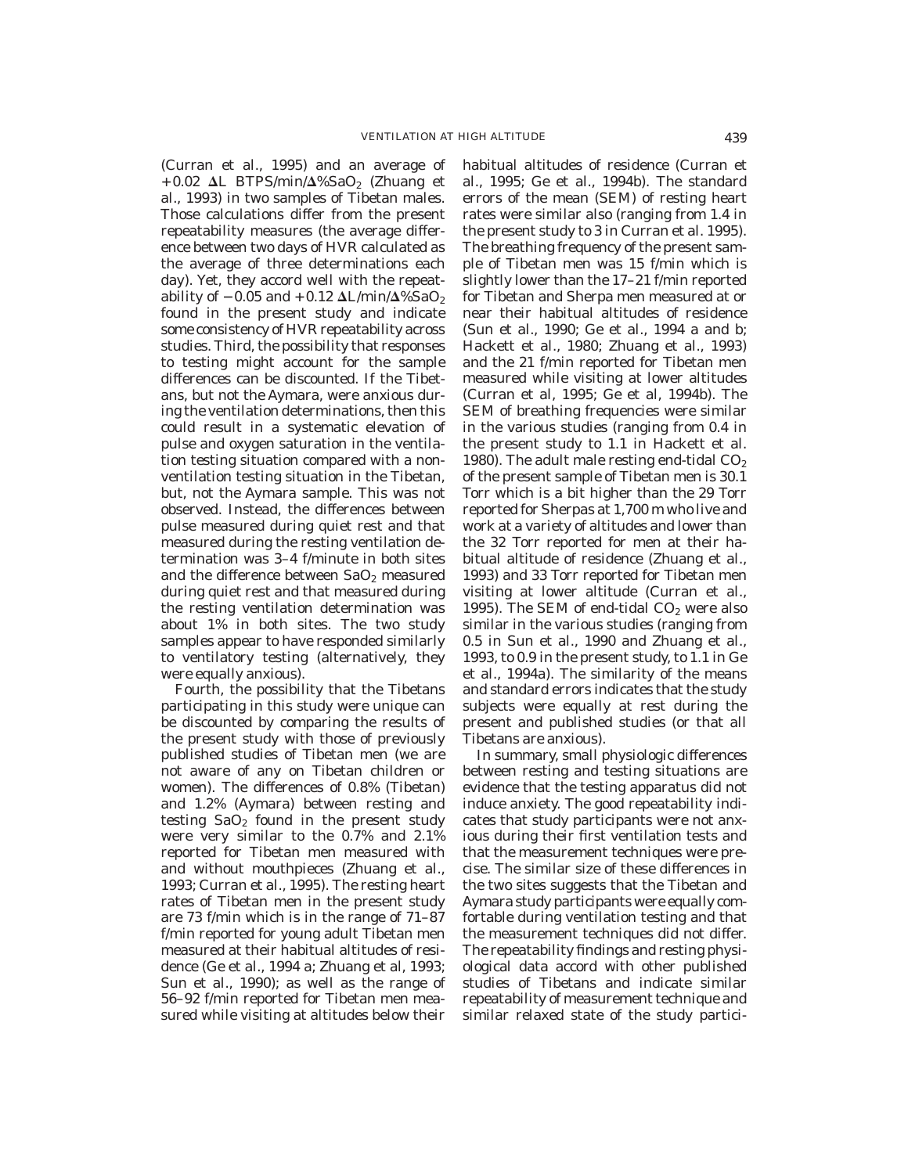(Curran et al., 1995) and an average of +0.02  $\Delta L$  BTPS/min/ $\Delta\%$ SaO<sub>2</sub> (Zhuang et al., 1993) in two samples of Tibetan males. Those calculations differ from the present repeatability measures (the average difference between two days of HVR calculated as the average of three determinations each day). Yet, they accord well with the repeatability of  $-0.05$  and  $+0.12 \Delta L/min/\Delta\% SaO<sub>2</sub>$ found in the present study and indicate some consistency of HVR repeatability across studies. Third, the possibility that responses to testing might account for the sample differences can be discounted. If the Tibetans, but not the Aymara, were anxious during the ventilation determinations, then this could result in a systematic elevation of pulse and oxygen saturation in the ventilation testing situation compared with a nonventilation testing situation in the Tibetan, but, not the Aymara sample. This was not observed. Instead, the differences between pulse measured during quiet rest and that measured during the resting ventilation determination was 3–4 f/minute in both sites and the difference between  $SaO<sub>2</sub>$  measured during quiet rest and that measured during the resting ventilation determination was about 1% in both sites. The two study samples appear to have responded similarly to ventilatory testing (alternatively, they were equally anxious).

Fourth, the possibility that the Tibetans participating in this study were unique can be discounted by comparing the results of the present study with those of previously published studies of Tibetan men (we are not aware of any on Tibetan children or women). The differences of 0.8% (Tibetan) and 1.2% (Aymara) between resting and testing  $SaO<sub>2</sub>$  found in the present study were very similar to the 0.7% and 2.1% reported for Tibetan men measured with and without mouthpieces (Zhuang et al., 1993; Curran et al., 1995). The resting heart rates of Tibetan men in the present study are 73 f/min which is in the range of 71–87 f/min reported for young adult Tibetan men measured at their habitual altitudes of residence (Ge et al., 1994 a; Zhuang et al, 1993; Sun et al., 1990); as well as the range of 56–92 f/min reported for Tibetan men measured while visiting at altitudes below their

habitual altitudes of residence (Curran et al., 1995; Ge et al., 1994b). The standard errors of the mean (SEM) of resting heart rates were similar also (ranging from 1.4 in the present study to 3 in Curran et al. 1995). The breathing frequency of the present sample of Tibetan men was 15 f/min which is slightly lower than the 17–21 f/min reported for Tibetan and Sherpa men measured at or near their habitual altitudes of residence (Sun et al., 1990; Ge et al., 1994 a and b; Hackett et al., 1980; Zhuang et al., 1993) and the 21 f/min reported for Tibetan men measured while visiting at lower altitudes (Curran et al, 1995; Ge et al, 1994b). The SEM of breathing frequencies were similar in the various studies (ranging from 0.4 in the present study to 1.1 in Hackett et al. 1980). The adult male resting end-tidal  $CO<sub>2</sub>$ of the present sample of Tibetan men is 30.1 Torr which is a bit higher than the 29 Torr reported for Sherpas at 1,700 m who live and work at a variety of altitudes and lower than the 32 Torr reported for men at their habitual altitude of residence (Zhuang et al., 1993) and 33 Torr reported for Tibetan men visiting at lower altitude (Curran et al., 1995). The SEM of end-tidal  $CO<sub>2</sub>$  were also similar in the various studies (ranging from 0.5 in Sun et al., 1990 and Zhuang et al., 1993, to 0.9 in the present study, to 1.1 in Ge et al., 1994a). The similarity of the means and standard errors indicates that the study subjects were equally at rest during the present and published studies (or that all Tibetans are anxious).

In summary, small physiologic differences between resting and testing situations are evidence that the testing apparatus did not induce anxiety. The good repeatability indicates that study participants were not anxious during their first ventilation tests and that the measurement techniques were precise. The similar size of these differences in the two sites suggests that the Tibetan and Aymara study participants were equally comfortable during ventilation testing and that the measurement techniques did not differ. The repeatability findings and resting physiological data accord with other published studies of Tibetans and indicate similar repeatability of measurement technique and similar relaxed state of the study partici-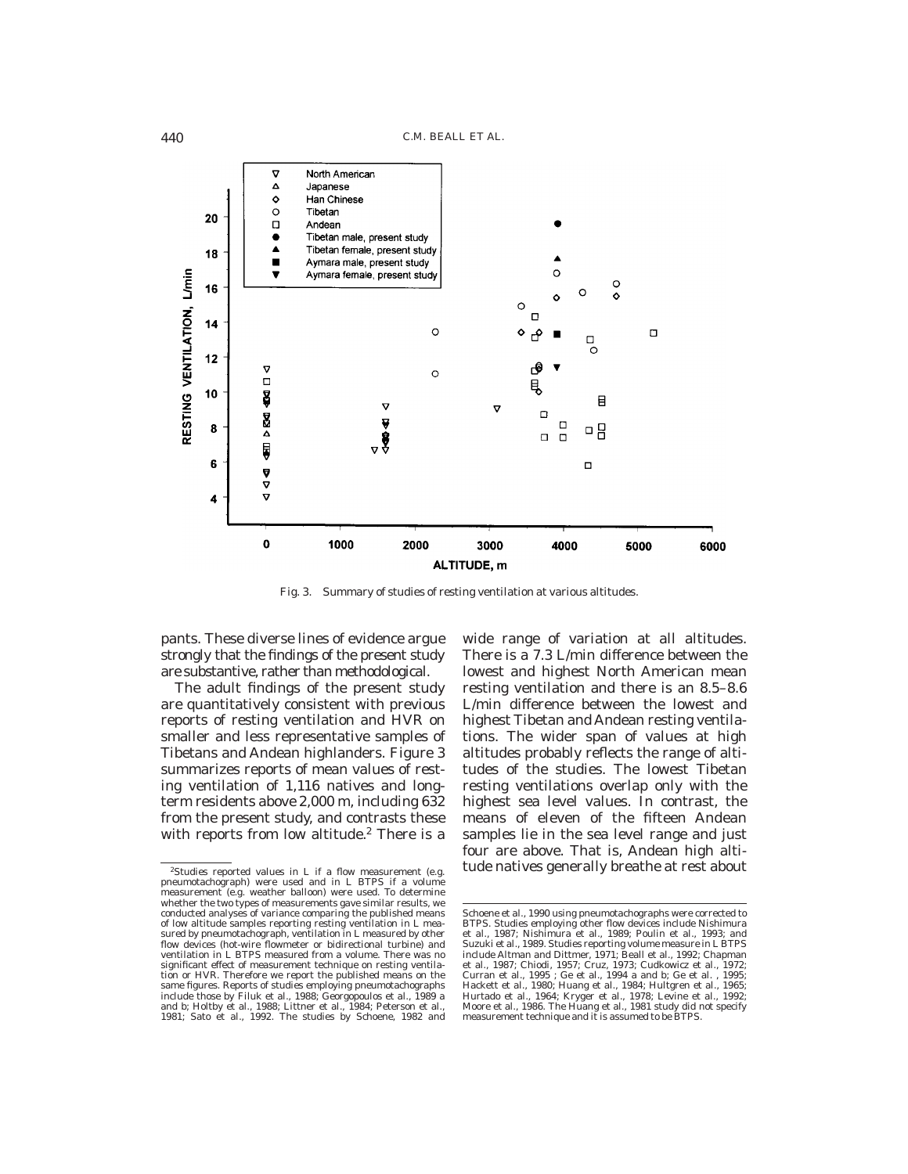

Fig. 3. Summary of studies of resting ventilation at various altitudes.

pants. These diverse lines of evidence argue strongly that the findings of the present study are substantive, rather than methodological.

The adult findings of the present study are quantitatively consistent with previous reports of resting ventilation and HVR on smaller and less representative samples of Tibetans and Andean highlanders. Figure 3 summarizes reports of mean values of resting ventilation of 1,116 natives and longterm residents above 2,000 m, including 632 from the present study, and contrasts these with reports from low altitude.<sup>2</sup> There is a

wide range of variation at all altitudes. There is a 7.3 L/min difference between the lowest and highest North American mean resting ventilation and there is an 8.5–8.6 L/min difference between the lowest and highest Tibetan and Andean resting ventilations. The wider span of values at high altitudes probably reflects the range of altitudes of the studies. The lowest Tibetan resting ventilations overlap only with the highest sea level values. In contrast, the means of eleven of the fifteen Andean samples lie in the sea level range and just four are above. That is, Andean high alti- $\overline{\text{25}$  is a flow measurement (e.g. tude natives generally breathe at rest about

pneumotachograph) were used and in L BTPS if a volume measurement (e.g. weather balloon) were used. To determine whether the two types of measurements gave similar results, we conducted analyses of variance comparing the published means of low altitude samples reporting resting ventilation in L measured by pneumotachograph, ventilation in L measured by other flow devices (hot-wire flowmeter or bidirectional turbine) and ventilation in L BTPS measured from a volume. There was no significant effect of measurement technique on resting ventila-tion or HVR. Therefore we report the published means on the same figures. Reports of studies employing pneumotachographs include those by Filuk et al., 1988; Georgopoulos et al., 1989 a and b; Holtby et al., 1988; Littner et al., 1984; Peterson et al., 1981; Sato et al., 1992. The studies by Schoene, 1982 and

Schoene et al., 1990 using pneumotachographs were corrected to BTPS. Studies employing other flow devices include Nishimura et al., 1987; Nishimura et al., 1989; Poulin et al., 1993; and Suzuki et al., 1989. Studies reporting volume measure in L BTPS include Altman and Dittmer, 1971; Beall et al., 1992; Chapman et al., 1987; Chiodi, 1957; Cruz, 1973; Cudkowicz et al., 1972; Curran et al., 1995 ; Ge et al., 1994 a and b; Ge et al. , 1995; Hackett et al., 1980; Huang et al., 1984; Hultgren et al., 1965; Hurtado et al., 1964; Kryger et al., 1978; Levine et al., 1992; Moore et al., 1986. The Huang et al., 1981 study did not specify measurement technique and it is assumed to be BTPS.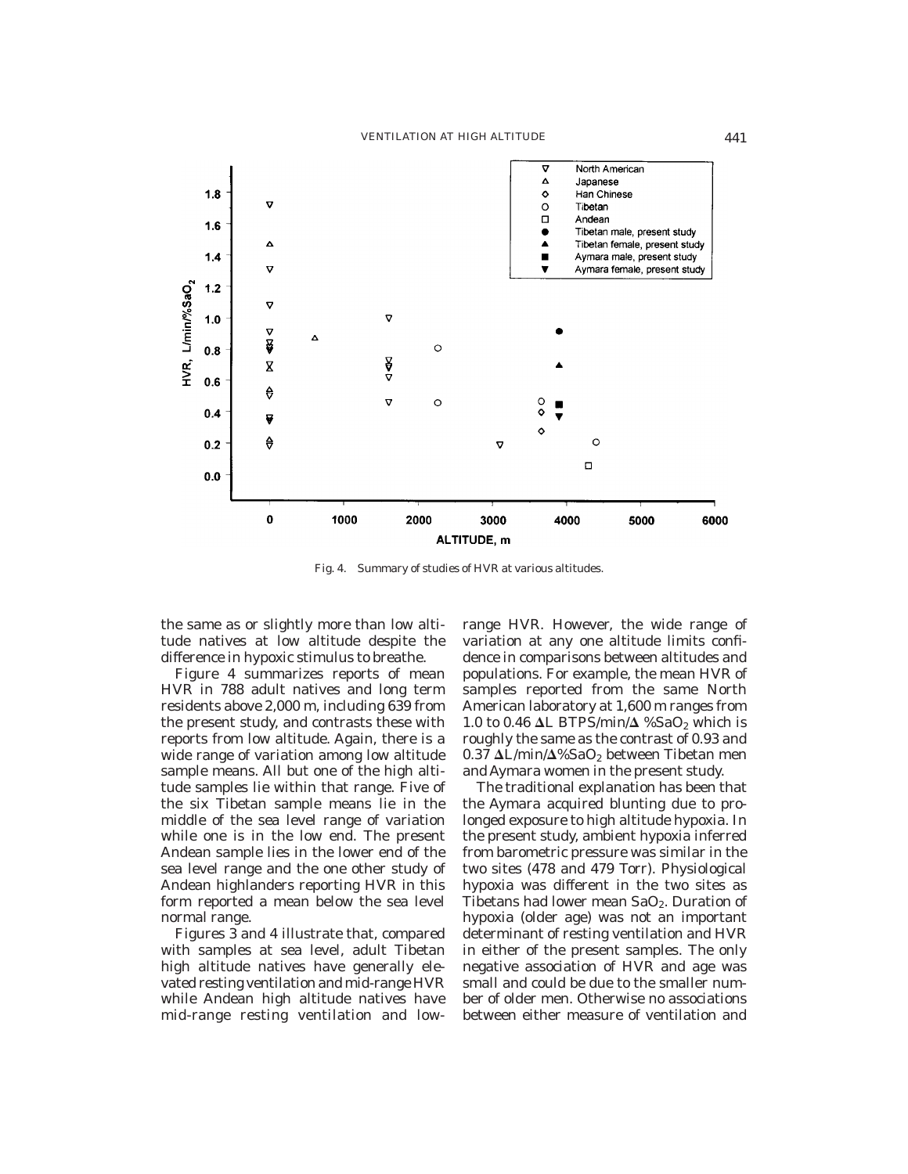

Fig. 4. Summary of studies of HVR at various altitudes.

the same as or slightly more than low altitude natives at low altitude despite the difference in hypoxic stimulus to breathe.

Figure 4 summarizes reports of mean HVR in 788 adult natives and long term residents above 2,000 m, including 639 from the present study, and contrasts these with reports from low altitude. Again, there is a wide range of variation among low altitude sample means. All but one of the high altitude samples lie within that range. Five of the six Tibetan sample means lie in the middle of the sea level range of variation while one is in the low end. The present Andean sample lies in the lower end of the sea level range and the one other study of Andean highlanders reporting HVR in this form reported a mean below the sea level normal range.

Figures 3 and 4 illustrate that, compared with samples at sea level, adult Tibetan high altitude natives have generally elevated resting ventilation and mid-range HVR while Andean high altitude natives have mid-range resting ventilation and lowrange HVR. However, the wide range of variation at any one altitude limits confidence in comparisons between altitudes and populations. For example, the mean HVR of samples reported from the same North American laboratory at 1,600 m ranges from 1.0 to 0.46  $\Delta L$  BTPS/min/ $\Delta$  %SaO<sub>2</sub> which is roughly the same as the contrast of 0.93 and  $0.37 \Delta L/min/\Delta\%$ SaO<sub>2</sub> between Tibetan men and Aymara women in the present study.

The traditional explanation has been that the Aymara acquired blunting due to prolonged exposure to high altitude hypoxia. In the present study, ambient hypoxia inferred from barometric pressure was similar in the two sites (478 and 479 Torr). Physiological hypoxia was different in the two sites as Tibetans had lower mean  $SaO<sub>2</sub>$ . Duration of hypoxia (older age) was not an important determinant of resting ventilation and HVR in either of the present samples. The only negative association of HVR and age was small and could be due to the smaller number of older men. Otherwise no associations between either measure of ventilation and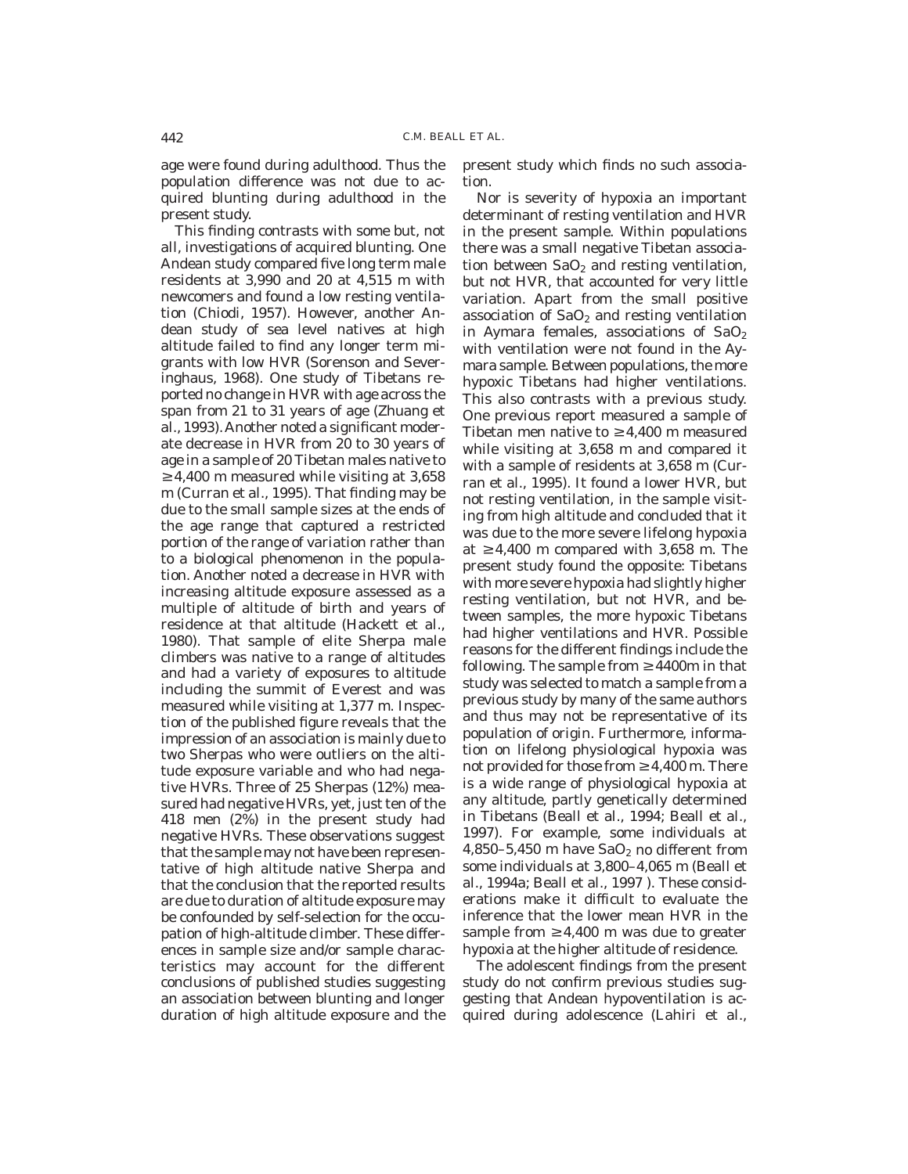age were found during adulthood. Thus the population difference was not due to acquired blunting during adulthood in the present study.

This finding contrasts with some but, not all, investigations of acquired blunting. One Andean study compared five long term male residents at 3,990 and 20 at 4,515 m with newcomers and found a low resting ventilation (Chiodi, 1957). However, another Andean study of sea level natives at high altitude failed to find any longer term migrants with low HVR (Sorenson and Severinghaus, 1968). One study of Tibetans reported no change in HVR with age across the span from 21 to 31 years of age (Zhuang et al., 1993). Another noted a significant moderate decrease in HVR from 20 to 30 years of age in a sample of 20 Tibetan males native to  $\geq$ 4,400 m measured while visiting at 3,658 m (Curran et al., 1995). That finding may be due to the small sample sizes at the ends of the age range that captured a restricted portion of the range of variation rather than to a biological phenomenon in the population. Another noted a decrease in HVR with increasing altitude exposure assessed as a multiple of altitude of birth and years of residence at that altitude (Hackett et al., 1980). That sample of elite Sherpa male climbers was native to a range of altitudes and had a variety of exposures to altitude including the summit of Everest and was measured while visiting at 1,377 m. Inspection of the published figure reveals that the impression of an association is mainly due to two Sherpas who were outliers on the altitude exposure variable and who had negative HVRs. Three of 25 Sherpas (12%) measured had negative HVRs, yet, just ten of the 418 men (2%) in the present study had negative HVRs. These observations suggest that the sample may not have been representative of high altitude native Sherpa and that the conclusion that the reported results are due to duration of altitude exposure may be confounded by self-selection for the occupation of high-altitude climber. These differences in sample size and/or sample characteristics may account for the different conclusions of published studies suggesting an association between blunting and longer duration of high altitude exposure and the

present study which finds no such association.

Nor is severity of hypoxia an important determinant of resting ventilation and HVR in the present sample. Within populations there was a small negative Tibetan association between  $SaO<sub>2</sub>$  and resting ventilation, but not HVR, that accounted for very little variation. Apart from the small positive association of  $SaO<sub>2</sub>$  and resting ventilation in Aymara females, associations of  $SaO<sub>2</sub>$ with ventilation were not found in the Aymara sample. Between populations, the more hypoxic Tibetans had higher ventilations. This also contrasts with a previous study. One previous report measured a sample of Tibetan men native to  $\geq 4,400$  m measured while visiting at 3,658 m and compared it with a sample of residents at 3,658 m (Curran et al., 1995). It found a lower HVR, but not resting ventilation, in the sample visiting from high altitude and concluded that it was due to the more severe lifelong hypoxia at  $\geq 4,400$  m compared with 3,658 m. The present study found the opposite: Tibetans with more severe hypoxia had slightly higher resting ventilation, but not HVR, and between samples, the more hypoxic Tibetans had higher ventilations and HVR. Possible reasons for the different findings include the following. The sample from  $\geq 4400$ m in that study was selected to match a sample from a previous study by many of the same authors and thus may not be representative of its population of origin. Furthermore, information on lifelong physiological hypoxia was not provided for those from  $\geq 4,400$  m. There is a wide range of physiological hypoxia at any altitude, partly genetically determined in Tibetans (Beall et al., 1994; Beall et al., 1997). For example, some individuals at 4,850–5,450 m have  $SaO<sub>2</sub>$  no different from some individuals at 3,800–4,065 m (Beall et al., 1994a; Beall et al., 1997 ). These considerations make it difficult to evaluate the inference that the lower mean HVR in the sample from  $\geq 4,400$  m was due to greater hypoxia at the higher altitude of residence.

The adolescent findings from the present study do not confirm previous studies suggesting that Andean hypoventilation is acquired during adolescence (Lahiri et al.,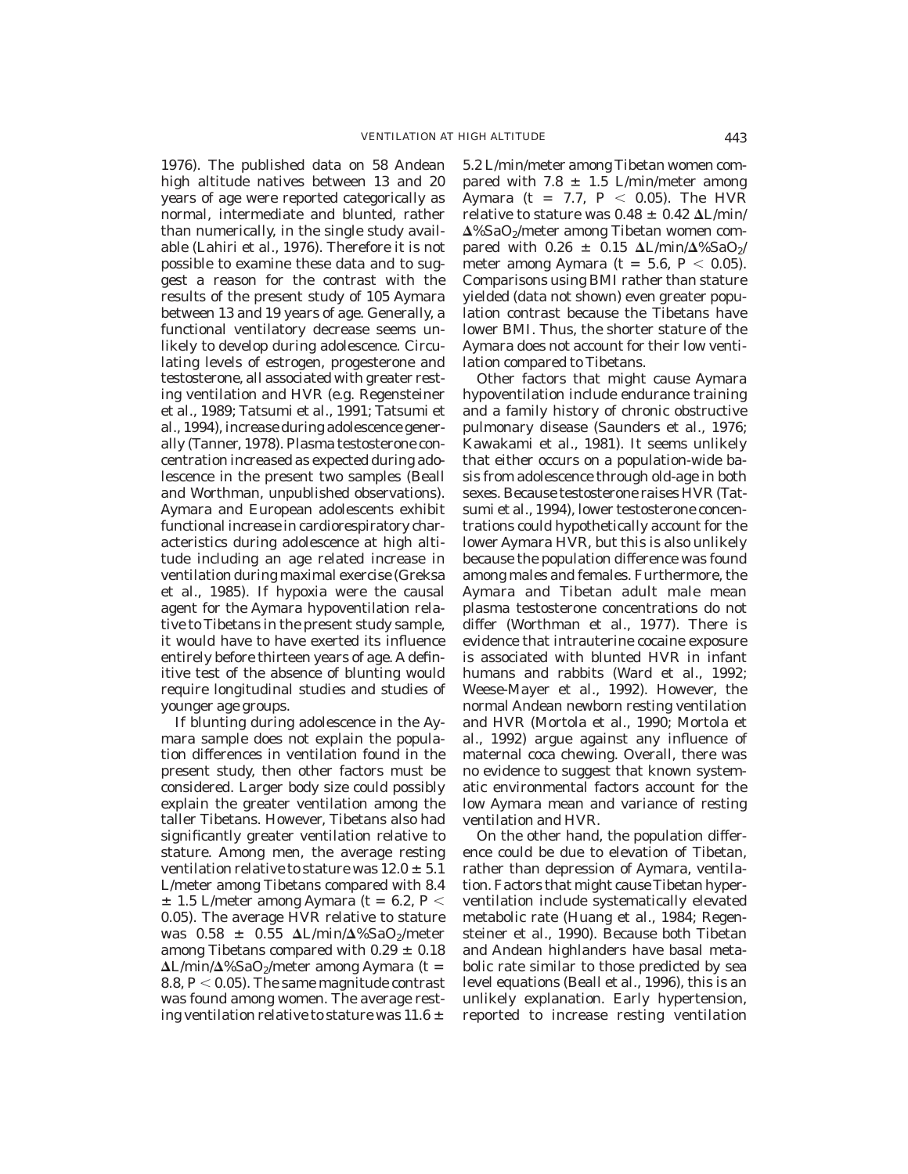1976). The published data on 58 Andean high altitude natives between 13 and 20 years of age were reported categorically as normal, intermediate and blunted, rather than numerically, in the single study available (Lahiri et al., 1976). Therefore it is not possible to examine these data and to suggest a reason for the contrast with the results of the present study of 105 Aymara between 13 and 19 years of age. Generally, a functional ventilatory decrease seems unlikely to develop during adolescence. Circulating levels of estrogen, progesterone and testosterone, all associated with greater resting ventilation and HVR (e.g. Regensteiner et al., 1989; Tatsumi et al., 1991; Tatsumi et al., 1994), increase during adolescence generally (Tanner, 1978). Plasma testosterone concentration increased as expected during adolescence in the present two samples (Beall and Worthman, unpublished observations). Aymara and European adolescents exhibit functional increase in cardiorespiratory characteristics during adolescence at high altitude including an age related increase in ventilation during maximal exercise (Greksa et al., 1985). If hypoxia were the causal agent for the Aymara hypoventilation relative to Tibetans in the present study sample, it would have to have exerted its influence entirely before thirteen years of age. A definitive test of the absence of blunting would require longitudinal studies and studies of younger age groups.

If blunting during adolescence in the Aymara sample does not explain the population differences in ventilation found in the present study, then other factors must be considered. Larger body size could possibly explain the greater ventilation among the taller Tibetans. However, Tibetans also had significantly greater ventilation relative to stature. Among men, the average resting ventilation relative to stature was  $12.0 \pm 5.1$ L/meter among Tibetans compared with 8.4  $\pm$  1.5 L/meter among Aymara (t = 6.2, *P* < 0.05). The average HVR relative to stature was  $0.58 \pm 0.55 \Delta L/min/\Delta\%SaO_2/meter$ among Tibetans compared with  $0.29 \pm 0.18$  $\Delta L/min/\Delta\%$ SaO<sub>2</sub>/meter among Aymara (t = 8.8,  $P < 0.05$ ). The same magnitude contrast was found among women. The average resting ventilation relative to stature was 11.6  $\pm$ 

5.2 L/min/meter among Tibetan women compared with 7.8  $\pm$  1.5 L/min/meter among Aymara (t = 7.7,  $P < 0.05$ ). The HVR relative to stature was  $0.48 \pm 0.42$   $\Delta L/min/$  $\Delta\%$ SaO<sub>2</sub>/meter among Tibetan women compared with  $0.26 \pm 0.15 \Delta L/min/\Delta\% SaO_2/$ meter among Aymara (t = 5.6,  $P < 0.05$ ). Comparisons using BMI rather than stature yielded (data not shown) even greater population contrast because the Tibetans have lower BMI. Thus, the shorter stature of the Aymara does not account for their low ventilation compared to Tibetans.

Other factors that might cause Aymara hypoventilation include endurance training and a family history of chronic obstructive pulmonary disease (Saunders et al., 1976; Kawakami et al., 1981). It seems unlikely that either occurs on a population-wide basis from adolescence through old-age in both sexes. Because testosterone raises HVR (Tatsumi et al., 1994), lower testosterone concentrations could hypothetically account for the lower Aymara HVR, but this is also unlikely because the population difference was found among males and females. Furthermore, the Aymara and Tibetan adult male mean plasma testosterone concentrations do not differ (Worthman et al., 1977). There is evidence that intrauterine cocaine exposure is associated with blunted HVR in infant humans and rabbits (Ward et al., 1992; Weese-Mayer et al., 1992). However, the normal Andean newborn resting ventilation and HVR (Mortola et al., 1990; Mortola et al., 1992) argue against any influence of maternal coca chewing. Overall, there was no evidence to suggest that known systematic environmental factors account for the low Aymara mean and variance of resting ventilation and HVR.

On the other hand, the population difference could be due to elevation of Tibetan, rather than depression of Aymara, ventilation. Factors that might cause Tibetan hyperventilation include systematically elevated metabolic rate (Huang et al., 1984; Regensteiner et al., 1990). Because both Tibetan and Andean highlanders have basal metabolic rate similar to those predicted by sea level equations (Beall et al., 1996), this is an unlikely explanation. Early hypertension, reported to increase resting ventilation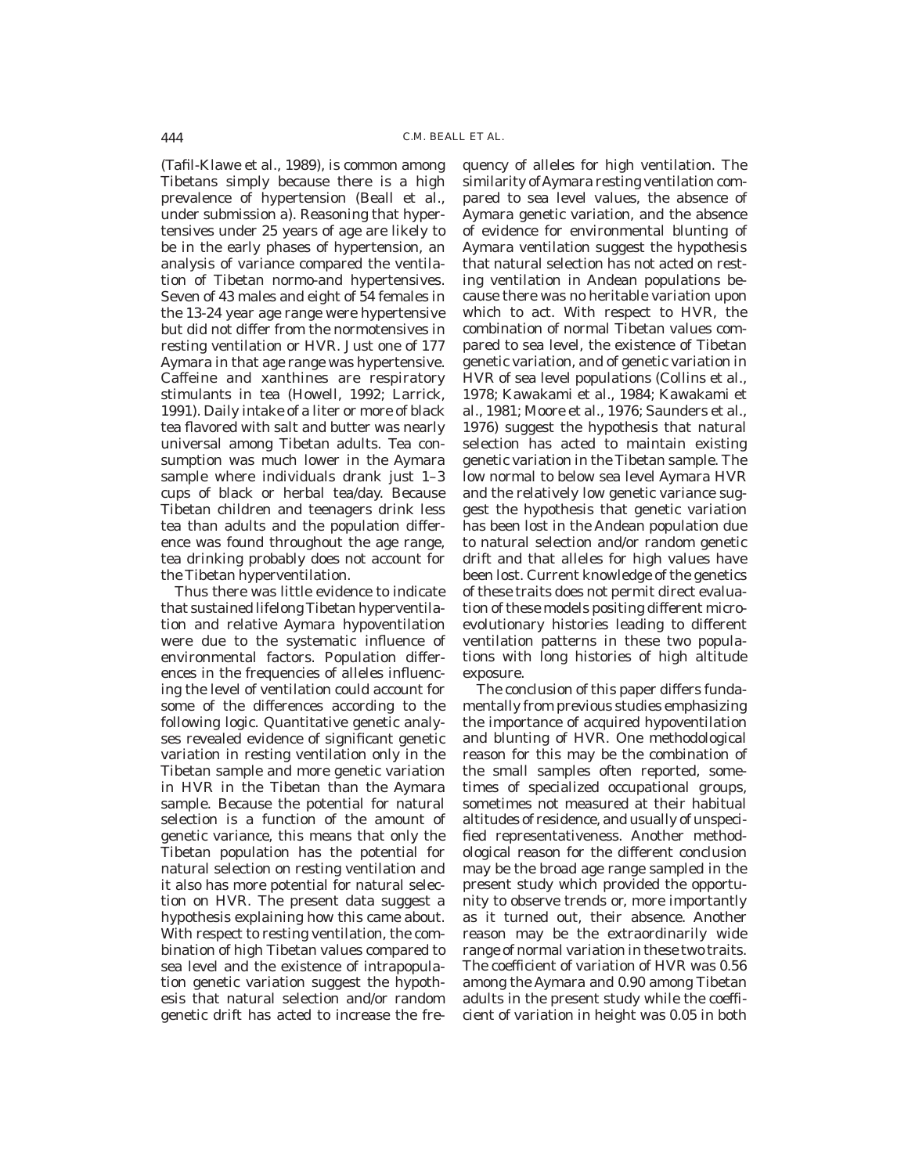(Tafil-Klawe et al., 1989), is common among Tibetans simply because there is a high prevalence of hypertension (Beall et al., under submission a). Reasoning that hypertensives under 25 years of age are likely to be in the early phases of hypertension, an analysis of variance compared the ventilation of Tibetan normo-and hypertensives. Seven of 43 males and eight of 54 females in the 13-24 year age range were hypertensive but did not differ from the normotensives in resting ventilation or HVR. Just one of 177 Aymara in that age range was hypertensive. Caffeine and xanthines are respiratory stimulants in tea (Howell, 1992; Larrick, 1991). Daily intake of a liter or more of black tea flavored with salt and butter was nearly universal among Tibetan adults. Tea consumption was much lower in the Aymara sample where individuals drank just 1–3 cups of black or herbal tea/day. Because Tibetan children and teenagers drink less tea than adults and the population difference was found throughout the age range, tea drinking probably does not account for the Tibetan hyperventilation.

Thus there was little evidence to indicate that sustained lifelong Tibetan hyperventilation and relative Aymara hypoventilation were due to the systematic influence of environmental factors. Population differences in the frequencies of alleles influencing the level of ventilation could account for some of the differences according to the following logic. Quantitative genetic analyses revealed evidence of significant genetic variation in resting ventilation only in the Tibetan sample and more genetic variation in HVR in the Tibetan than the Aymara sample. Because the potential for natural selection is a function of the amount of genetic variance, this means that only the Tibetan population has the potential for natural selection on resting ventilation and it also has more potential for natural selection on HVR. The present data suggest a hypothesis explaining how this came about. With respect to resting ventilation, the combination of high Tibetan values compared to sea level and the existence of intrapopulation genetic variation suggest the hypothesis that natural selection and/or random genetic drift has acted to increase the frequency of alleles for high ventilation. The similarity of Aymara resting ventilation compared to sea level values, the absence of Aymara genetic variation, and the absence of evidence for environmental blunting of Aymara ventilation suggest the hypothesis that natural selection has not acted on resting ventilation in Andean populations because there was no heritable variation upon which to act. With respect to HVR, the combination of normal Tibetan values compared to sea level, the existence of Tibetan genetic variation, and of genetic variation in HVR of sea level populations (Collins et al., 1978; Kawakami et al., 1984; Kawakami et al., 1981; Moore et al., 1976; Saunders et al., 1976) suggest the hypothesis that natural selection has acted to maintain existing genetic variation in the Tibetan sample. The low normal to below sea level Aymara HVR and the relatively low genetic variance suggest the hypothesis that genetic variation has been lost in the Andean population due to natural selection and/or random genetic drift and that alleles for high values have been lost. Current knowledge of the genetics of these traits does not permit direct evaluation of these models positing different microevolutionary histories leading to different ventilation patterns in these two populations with long histories of high altitude exposure.

The conclusion of this paper differs fundamentally from previous studies emphasizing the importance of acquired hypoventilation and blunting of HVR. One methodological reason for this may be the combination of the small samples often reported, sometimes of specialized occupational groups, sometimes not measured at their habitual altitudes of residence, and usually of unspecified representativeness. Another methodological reason for the different conclusion may be the broad age range sampled in the present study which provided the opportunity to observe trends or, more importantly as it turned out, their absence. Another reason may be the extraordinarily wide range of normal variation in these two traits. The coefficient of variation of HVR was 0.56 among the Aymara and 0.90 among Tibetan adults in the present study while the coefficient of variation in height was 0.05 in both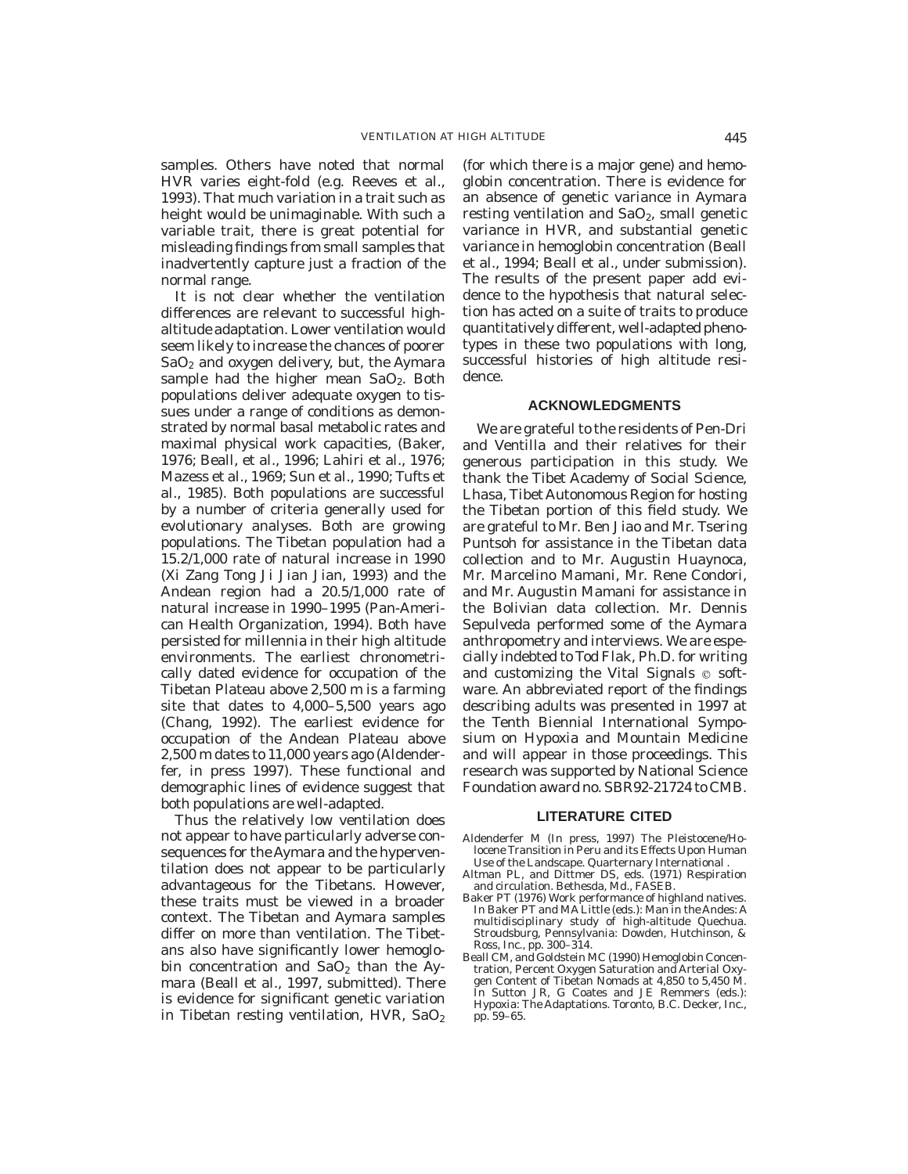samples. Others have noted that normal HVR varies eight-fold (e.g. Reeves et al., 1993). That much variation in a trait such as height would be unimaginable. With such a variable trait, there is great potential for misleading findings from small samples that inadvertently capture just a fraction of the normal range.

It is not clear whether the ventilation differences are relevant to successful highaltitude adaptation. Lower ventilation would seem likely to increase the chances of poorer  $SaO<sub>2</sub>$  and oxygen delivery, but, the Aymara sample had the higher mean  $SaO<sub>2</sub>$ . Both populations deliver adequate oxygen to tissues under a range of conditions as demonstrated by normal basal metabolic rates and maximal physical work capacities, (Baker, 1976; Beall, et al., 1996; Lahiri et al., 1976; Mazess et al., 1969; Sun et al., 1990; Tufts et al., 1985). Both populations are successful by a number of criteria generally used for evolutionary analyses. Both are growing populations. The Tibetan population had a 15.2/1,000 rate of natural increase in 1990 (Xi Zang Tong Ji Jian Jian, 1993) and the Andean region had a 20.5/1,000 rate of natural increase in 1990–1995 (Pan-American Health Organization, 1994). Both have persisted for millennia in their high altitude environments. The earliest chronometrically dated evidence for occupation of the Tibetan Plateau above 2,500 m is a farming site that dates to 4,000–5,500 years ago (Chang, 1992). The earliest evidence for occupation of the Andean Plateau above 2,500 m dates to 11,000 years ago (Aldenderfer, in press 1997). These functional and demographic lines of evidence suggest that both populations are well-adapted.

Thus the relatively low ventilation does not appear to have particularly adverse consequences for the Aymara and the hyperventilation does not appear to be particularly advantageous for the Tibetans. However, these traits must be viewed in a broader context. The Tibetan and Aymara samples differ on more than ventilation. The Tibetans also have significantly lower hemoglobin concentration and  $SaO<sub>2</sub>$  than the Aymara (Beall et al., 1997, submitted). There is evidence for significant genetic variation in Tibetan resting ventilation, HVR,  $SaO<sub>2</sub>$ 

(for which there is a major gene) and hemoglobin concentration. There is evidence for an absence of genetic variance in Aymara resting ventilation and  $SaO<sub>2</sub>$ , small genetic variance in HVR, and substantial genetic variance in hemoglobin concentration (Beall et al., 1994; Beall et al., under submission). The results of the present paper add evidence to the hypothesis that natural selection has acted on a suite of traits to produce quantitatively different, well-adapted phenotypes in these two populations with long, successful histories of high altitude residence.

## **ACKNOWLEDGMENTS**

We are grateful to the residents of Pen-Dri and Ventilla and their relatives for their generous participation in this study. We thank the Tibet Academy of Social Science, Lhasa, Tibet Autonomous Region for hosting the Tibetan portion of this field study. We are grateful to Mr. Ben Jiao and Mr. Tsering Puntsoh for assistance in the Tibetan data collection and to Mr. Augustin Huaynoca, Mr. Marcelino Mamani, Mr. Rene Condori, and Mr. Augustin Mamani for assistance in the Bolivian data collection. Mr. Dennis Sepulveda performed some of the Aymara anthropometry and interviews. We are especially indebted to Tod Flak, Ph.D. for writing and customizing the Vital Signals  $\circ$  software. An abbreviated report of the findings describing adults was presented in 1997 at the Tenth Biennial International Symposium on Hypoxia and Mountain Medicine and will appear in those proceedings. This research was supported by National Science Foundation award no. SBR92-21724 to CMB.

#### **LITERATURE CITED**

- Aldenderfer M (In press, 1997) The Pleistocene/Holocene Transition in Peru and its Effects Upon Human Use of the Landscape. Quarternary International .
- Altman PL, and Dittmer DS, eds. (1971) Respiration and circulation. Bethesda, Md., FASEB.
- Baker PT (1976) Work performance of highland natives. In Baker PT and MA Little (eds.): Man in the Andes: A multidisciplinary study of high-altitude Quechua. Stroudsburg, Pennsylvania: Dowden, Hutchinson, & Ross, Inc., pp. 300–314.
- Beall CM, and Goldstein MC (1990) Hemoglobin Concentration, Percent Oxygen Saturation and Arterial Oxygen Content of Tibetan Nomads at 4,850 to 5,450 M. In Sutton JR, G Coates and JE Remmers (eds.): Hypoxia: The Adaptations. Toronto, B.C. Decker, Inc., pp. 59–65.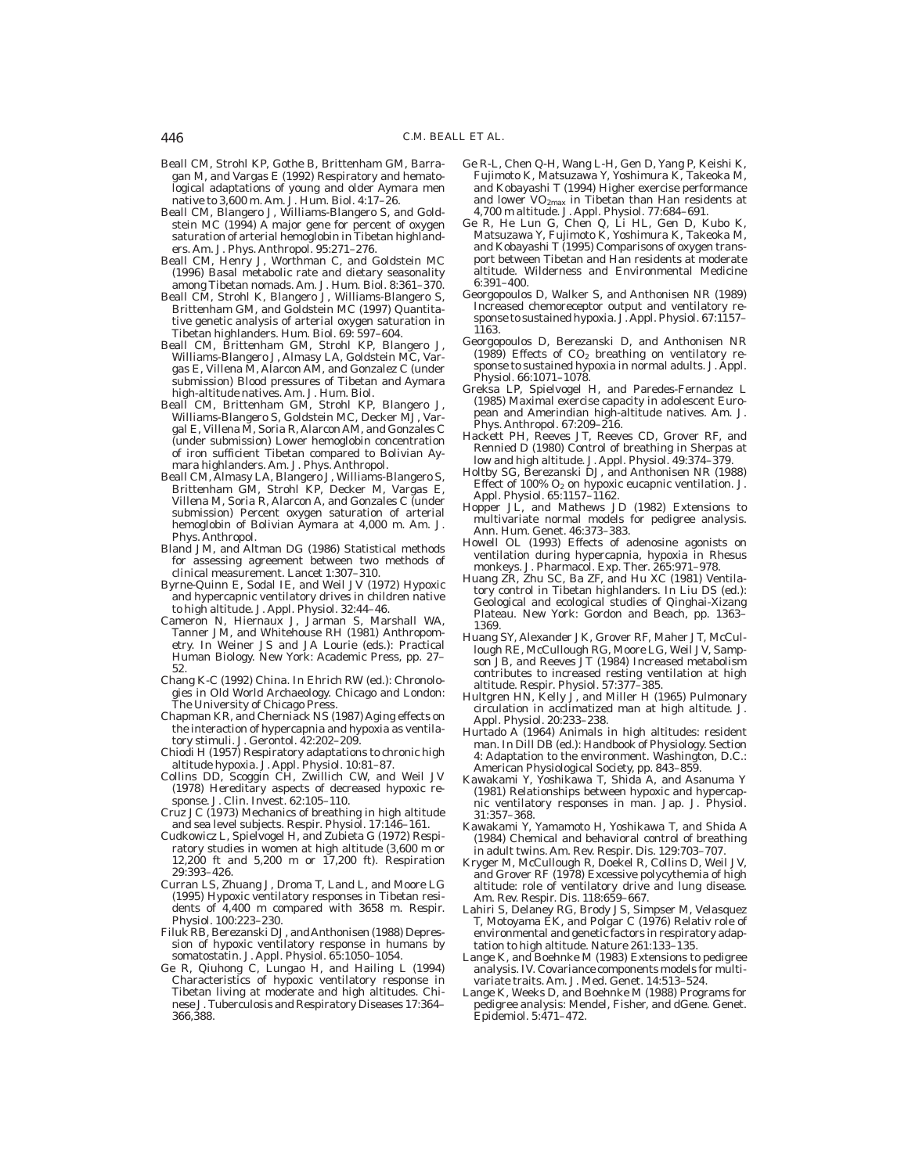- Beall CM, Strohl KP, Gothe B, Brittenham GM, Barragan M, and Vargas E (1992) Respiratory and hematological adaptations of young and older Aymara men native to 3,600 m. Am. J. Hum. Biol. *4:*17–26.
- Beall CM, Blangero J, Williams-Blangero S, and Goldstein MC (1994) A major gene for percent of oxygen saturation of arterial hemoglobin in Tibetan highlanders. Am. J. Phys. Anthropol. *95:*271–276.
- Beall CM, Henry J, Worthman C, and Goldstein MC (1996) Basal metabolic rate and dietary seasonality among Tibetan nomads. Am. J. Hum. Biol. *8:*361–370.
- Beall CM, Strohl K, Blangero J, Williams-Blangero S, Brittenham GM, and Goldstein MC (1997) Quantitative genetic analysis of arterial oxygen saturation in Tibetan highlanders. Hum. Biol. *69:* 597–604.
- Beall CM, Brittenham GM, Strohl KP, Blangero J, Williams-Blangero J, Almasy LA, Goldstein MC, Vargas E, Villena M, Alarcon AM, and Gonzalez C (under submission) Blood pressures of Tibetan and Aymara high-altitude natives. Am. J. Hum. Biol.
- Beall CM, Brittenham GM, Strohl KP, Blangero J, Williams-Blangero S, Goldstein MC, Decker MJ, Vargal E, Villena M, Soria R, Alarcon AM, and Gonzales C (under submission) Lower hemoglobin concentration of iron sufficient Tibetan compared to Bolivian Aymara highlanders. Am. J. Phys. Anthropol.
- Beall CM, Almasy LA, Blangero J, Williams-Blangero S, Brittenham GM, Strohl KP, Decker M, Vargas E, Villena M, Soria R, Alarcon A, and Gonzales C (under submission) Percent oxygen saturation of arterial hemoglobin of Bolivian Aymara at 4,000 m. Am. J. Phys. Anthropol.
- Bland JM, and Altman DG (1986) Statistical methods for assessing agreement between two methods of clinical measurement. Lancet *1:*307–310.
- Byrne-Quinn E, Sodal IE, and Weil JV (1972) Hypoxic and hypercapnic ventilatory drives in children native to high altitude. J. Appl. Physiol. *32:*44–46.
- Cameron N, Hiernaux J, Jarman S, Marshall WA, Tanner JM, and Whitehouse RH (1981) Anthropometry. In Weiner JS and JA Lourie (eds.): Practical Human Biology. New York: Academic Press, pp. 27– 52.
- Chang K-C (1992) China. In Ehrich RW (ed.): Chronologies in Old World Archaeology. Chicago and London: The University of Chicago Press.
- Chapman KR, and Cherniack NS (1987) Aging effects on the interaction of hypercapnia and hypoxia as ventilatory stimuli. J. Gerontol. *42:*202–209.
- Chiodi H (1957) Respiratory adaptations to chronic high altitude hypoxia. J. Appl. Physiol. *10:*81–87.
- Collins DD, Scoggin CH, Zwillich CW, and Weil JV (1978) Hereditary aspects of decreased hypoxic response. J. Clin. Invest. *62:*105–110.
- Cruz JC (1973) Mechanics of breathing in high altitude and sea level subjects. Respir. Physiol. *17:*146–161.
- Cudkowicz L, Spielvogel H, and Zubieta G (1972) Respiratory studies in women at high altitude (3,600 m or 12,200 ft and 5,200 m or 17,200 ft). Respiration *29:*393–426.
- Curran LS, Zhuang J, Droma T, Land L, and Moore LG (1995) Hypoxic ventilatory responses in Tibetan residents of 4,400 m compared with 3658 m. Respir. Physiol. *100:*223–230.
- Filuk RB, Berezanski DJ, andAnthonisen (1988) Depression of hypoxic ventilatory response in humans by somatostatin. J. Appl. Physiol. *65:*1050–1054.
- Ge R, Qiuhong C, Lungao H, and Hailing L (1994) Characteristics of hypoxic ventilatory response in Tibetan living at moderate and high altitudes. Chinese J. Tuberculosis and Respiratory Diseases *17:*364– 366,388.
- Ge R-L, Chen Q-H, Wang L-H, Gen D, Yang P, Keishi K, Fujimoto K, Matsuzawa Y, Yoshimura K, Takeoka M, and Kobayashi T (1994) Higher exercise performance and lower VO2max in Tibetan than Han residents at 4,700 m altitude. J. Appl. Physiol. *77:*684–691.
- Ge R, He Lun G, Chen Q, Li HL, Gen D, Kubo K, Matsuzawa Y, Fujimoto K, Yoshimura K, Takeoka M, and Kobayashi T (1995) Comparisons of oxygen transport between Tibetan and Han residents at moderate altitude. Wilderness and Environmental Medicine *6:*391–400.
- Georgopoulos D, Walker S, and Anthonisen NR (1989) Increased chemoreceptor output and ventilatory response to sustained hypoxia. J.Appl. Physiol. *67:*1157– 1163.
- Georgopoulos D, Berezanski D, and Anthonisen NR (1989) Effects of  $CO<sub>2</sub>$  breathing on ventilatory response to sustained hypoxia in normal adults. J. Appl. Physiol. *66:*1071–1078.
- Greksa LP, Spielvogel H, and Paredes-Fernandez L (1985) Maximal exercise capacity in adolescent European and Amerindian high-altitude natives. Am. J. Phys. Anthropol. *67:*209–216.
- Hackett PH, Reeves JT, Reeves CD, Grover RF, and Rennied D (1980) Control of breathing in Sherpas at low and high altitude. J. Appl. Physiol. *49:*374–379.
- Holtby SG, Berezanski DJ, and Anthonisen NR (1988) Effect of 100%  $O_2$  on hypoxic eucapnic ventilation. J. Appl. Physiol. *65:*1157–1162.
- Hopper JL, and Mathews JD (1982) Extensions to multivariate normal models for pedigree analysis. Ann. Hum. Genet. *46:*373–383.
- Howell OL (1993) Effects of adenosine agonists on ventilation during hypercapnia, hypoxia in Rhesus monkeys. J. Pharmacol. Exp. Ther. *265:*971–978.
- Huang ZR, Zhu SC, Ba ZF, and Hu XC (1981) Ventilatory control in Tibetan highlanders. In Liu DS (ed.): Geological and ecological studies of Qinghai-Xizang Plateau. New York: Gordon and Beach, pp. 1363– 1369.
- Huang SY, Alexander JK, Grover RF, Maher JT, McCullough RE, McCullough RG, Moore LG, Weil JV, Sampson JB, and Reeves JT (1984) Increased metabolism contributes to increased resting ventilation at high altitude. Respir. Physiol. *57:*377–385.
- Hultgren HN, Kelly J, and Miller H (1965) Pulmonary circulation in acclimatized man at high altitude. J. Appl. Physiol. *20:*233–238.
- Hurtado A (1964) Animals in high altitudes: resident man. In Dill DB (ed.): Handbook of Physiology. Section 4: Adaptation to the environment. Washington, D.C.: American Physiological Society, pp. 843–859.
- Kawakami Y, Yoshikawa T, Shida A, and Asanuma Y (1981) Relationships between hypoxic and hypercap-nic ventilatory responses in man. Jap. J. Physiol. *31:*357–368.
- Kawakami Y, Yamamoto H, Yoshikawa T, and Shida A (1984) Chemical and behavioral control of breathing in adult twins. Am. Rev. Respir. Dis. *129:*703–707.
- Kryger M, McCullough R, Doekel R, Collins D, Weil JV, and Grover RF (1978) Excessive polycythemia of high altitude: role of ventilatory drive and lung disease. Am. Rev. Respir. Dis. *118:*659–667.
- Lahiri S, Delaney RG, Brody JS, Simpser M, Velasquez T, Motoyama EK, and Polgar C (1976) Relativ role of environmental and genetic factors in respiratory adaptation to high altitude. Nature *261:*133–135.
- Lange K, and Boehnke M (1983) Extensions to pedigree analysis. IV. Covariance components models for multivariate traits. Am. J. Med. Genet. *14:*513–524.
- Lange K, Weeks D, and Boehnke M (1988) Programs for pedigree analysis: Mendel, Fisher, and dGene. Genet. Epidemiol. *5:*471–472.